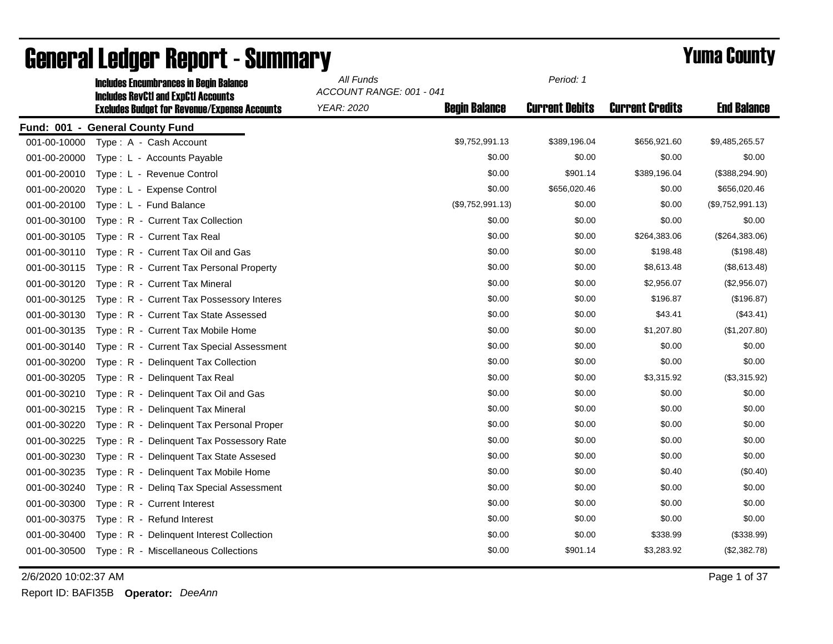|              | <b>Includes Encumbrances in Begin Balance</b>       | All Funds                |                      | Period: 1             |                        |                    |
|--------------|-----------------------------------------------------|--------------------------|----------------------|-----------------------|------------------------|--------------------|
|              | <b>Includes RevCtI and ExpCtI Accounts</b>          | ACCOUNT RANGE: 001 - 041 |                      |                       |                        |                    |
|              | <b>Excludes Budget for Revenue/Expense Accounts</b> | <b>YEAR: 2020</b>        | <b>Begin Balance</b> | <b>Current Debits</b> | <b>Current Credits</b> | <b>End Balance</b> |
|              | Fund: 001 - General County Fund                     |                          |                      |                       |                        |                    |
| 001-00-10000 | Type: A - Cash Account                              |                          | \$9,752,991.13       | \$389,196.04          | \$656,921.60           | \$9,485,265.57     |
| 001-00-20000 | Type: L - Accounts Payable                          |                          | \$0.00               | \$0.00                | \$0.00                 | \$0.00             |
| 001-00-20010 | Type: L - Revenue Control                           |                          | \$0.00               | \$901.14              | \$389,196.04           | (\$388, 294.90)    |
| 001-00-20020 | Type: L - Expense Control                           |                          | \$0.00               | \$656,020.46          | \$0.00                 | \$656,020.46       |
| 001-00-20100 | Type: L - Fund Balance                              |                          | (\$9,752,991.13)     | \$0.00                | \$0.00                 | (\$9,752,991.13)   |
| 001-00-30100 | Type: R - Current Tax Collection                    |                          | \$0.00               | \$0.00                | \$0.00                 | \$0.00             |
| 001-00-30105 | Type: R - Current Tax Real                          |                          | \$0.00               | \$0.00                | \$264,383.06           | (\$264,383.06)     |
| 001-00-30110 | Type: R - Current Tax Oil and Gas                   |                          | \$0.00               | \$0.00                | \$198.48               | (\$198.48)         |
| 001-00-30115 | Type: R - Current Tax Personal Property             |                          | \$0.00               | \$0.00                | \$8,613.48             | (\$8,613.48)       |
| 001-00-30120 | Type: R - Current Tax Mineral                       |                          | \$0.00               | \$0.00                | \$2,956.07             | (\$2,956.07)       |
| 001-00-30125 | Type: R - Current Tax Possessory Interes            |                          | \$0.00               | \$0.00                | \$196.87               | (\$196.87)         |
| 001-00-30130 | Type: R - Current Tax State Assessed                |                          | \$0.00               | \$0.00                | \$43.41                | (\$43.41)          |
| 001-00-30135 | Type: R - Current Tax Mobile Home                   |                          | \$0.00               | \$0.00                | \$1,207.80             | (\$1,207.80)       |
| 001-00-30140 | Type: R - Current Tax Special Assessment            |                          | \$0.00               | \$0.00                | \$0.00                 | \$0.00             |
| 001-00-30200 | Type: R - Delinquent Tax Collection                 |                          | \$0.00               | \$0.00                | \$0.00                 | \$0.00             |
| 001-00-30205 | Type: R - Delinguent Tax Real                       |                          | \$0.00               | \$0.00                | \$3,315.92             | (\$3,315.92)       |
| 001-00-30210 | Type: R - Delinquent Tax Oil and Gas                |                          | \$0.00               | \$0.00                | \$0.00                 | \$0.00             |
| 001-00-30215 | Type: R - Delinquent Tax Mineral                    |                          | \$0.00               | \$0.00                | \$0.00                 | \$0.00             |
| 001-00-30220 | Type: R - Delinquent Tax Personal Proper            |                          | \$0.00               | \$0.00                | \$0.00                 | \$0.00             |
| 001-00-30225 | Type: R - Delinquent Tax Possessory Rate            |                          | \$0.00               | \$0.00                | \$0.00                 | \$0.00             |
| 001-00-30230 | Type: R - Delinquent Tax State Assesed              |                          | \$0.00               | \$0.00                | \$0.00                 | \$0.00             |
| 001-00-30235 | Type: R - Delinquent Tax Mobile Home                |                          | \$0.00               | \$0.00                | \$0.40                 | (\$0.40)           |
| 001-00-30240 | Type: R - Deling Tax Special Assessment             |                          | \$0.00               | \$0.00                | \$0.00                 | \$0.00             |
| 001-00-30300 | Type: R - Current Interest                          |                          | \$0.00               | \$0.00                | \$0.00                 | \$0.00             |
| 001-00-30375 | Type: R - Refund Interest                           |                          | \$0.00               | \$0.00                | \$0.00                 | \$0.00             |
| 001-00-30400 | Type: R - Delinquent Interest Collection            |                          | \$0.00               | \$0.00                | \$338.99               | (\$338.99)         |
| 001-00-30500 | Type: R - Miscellaneous Collections                 |                          | \$0.00               | \$901.14              | \$3,283.92             | (\$2,382.78)       |
|              |                                                     |                          |                      |                       |                        |                    |

# General Ledger Report - Summary **Second Additional Second Period: A**

2/6/2020 10:02:37 AM Page 1 of 37

Report ID: BAFI35B **Operator:** *DeeAnn*

*Period: 1*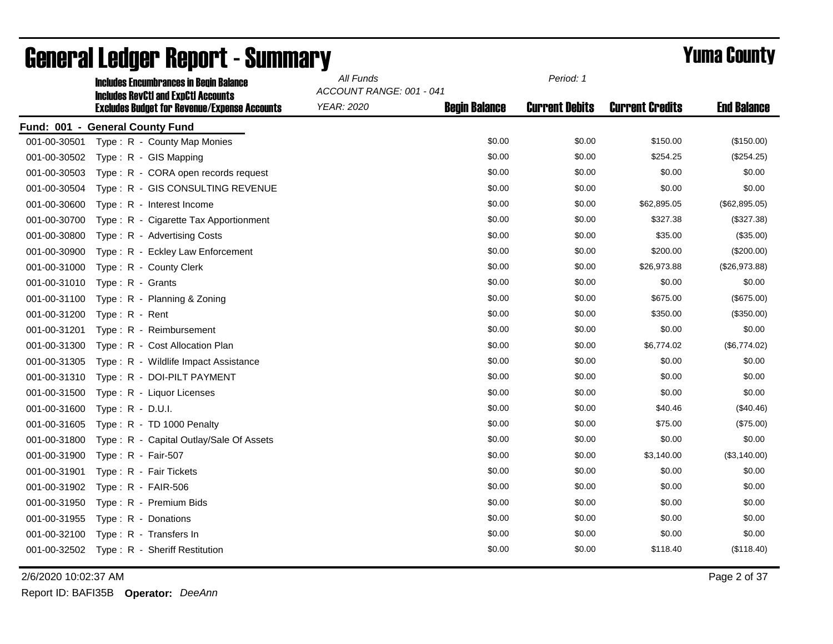|              | <b>Includes Encumbrances in Begin Balance</b><br><b>Includes RevCtI and ExpCtI Accounts</b> | All Funds<br>ACCOUNT RANGE: 001 - 041 |                      | Period: 1             |                        |                    |
|--------------|---------------------------------------------------------------------------------------------|---------------------------------------|----------------------|-----------------------|------------------------|--------------------|
|              | <b>Excludes Budget for Revenue/Expense Accounts</b>                                         | YEAR: 2020                            | <b>Begin Balance</b> | <b>Current Debits</b> | <b>Current Credits</b> | <b>End Balance</b> |
|              | Fund: 001 - General County Fund                                                             |                                       |                      |                       |                        |                    |
| 001-00-30501 | Type: R - County Map Monies                                                                 |                                       | \$0.00               | \$0.00                | \$150.00               | (\$150.00)         |
| 001-00-30502 | Type: R - GIS Mapping                                                                       |                                       | \$0.00               | \$0.00                | \$254.25               | (\$254.25)         |
| 001-00-30503 | Type: R - CORA open records request                                                         |                                       | \$0.00               | \$0.00                | \$0.00                 | \$0.00             |
| 001-00-30504 | Type: R - GIS CONSULTING REVENUE                                                            |                                       | \$0.00               | \$0.00                | \$0.00                 | \$0.00             |
| 001-00-30600 | Type: R - Interest Income                                                                   |                                       | \$0.00               | \$0.00                | \$62,895.05            | (\$62,895.05)      |
| 001-00-30700 | Type: R - Cigarette Tax Apportionment                                                       |                                       | \$0.00               | \$0.00                | \$327.38               | (\$327.38)         |
| 001-00-30800 | Type: R - Advertising Costs                                                                 |                                       | \$0.00               | \$0.00                | \$35.00                | (\$35.00)          |
| 001-00-30900 | Type: R - Eckley Law Enforcement                                                            |                                       | \$0.00               | \$0.00                | \$200.00               | (\$200.00)         |
| 001-00-31000 | Type: R - County Clerk                                                                      |                                       | \$0.00               | \$0.00                | \$26,973.88            | (\$26,973.88)      |
| 001-00-31010 | Type: R - Grants                                                                            |                                       | \$0.00               | \$0.00                | \$0.00                 | \$0.00             |
| 001-00-31100 | Type: R - Planning & Zoning                                                                 |                                       | \$0.00               | \$0.00                | \$675.00               | (\$675.00)         |
| 001-00-31200 | Type: R - Rent                                                                              |                                       | \$0.00               | \$0.00                | \$350.00               | (\$350.00)         |
| 001-00-31201 | Type: R - Reimbursement                                                                     |                                       | \$0.00               | \$0.00                | \$0.00                 | \$0.00             |
| 001-00-31300 | Type: R - Cost Allocation Plan                                                              |                                       | \$0.00               | \$0.00                | \$6,774.02             | (\$6,774.02)       |
| 001-00-31305 | Type: R - Wildlife Impact Assistance                                                        |                                       | \$0.00               | \$0.00                | \$0.00                 | \$0.00             |
| 001-00-31310 | Type: R - DOI-PILT PAYMENT                                                                  |                                       | \$0.00               | \$0.00                | \$0.00                 | \$0.00             |
| 001-00-31500 | Type: R - Liquor Licenses                                                                   |                                       | \$0.00               | \$0.00                | \$0.00                 | \$0.00             |
| 001-00-31600 | Type: $R - D.U.I.$                                                                          |                                       | \$0.00               | \$0.00                | \$40.46                | (\$40.46)          |
| 001-00-31605 | Type: R - TD 1000 Penalty                                                                   |                                       | \$0.00               | \$0.00                | \$75.00                | (\$75.00)          |
| 001-00-31800 | Type: R - Capital Outlay/Sale Of Assets                                                     |                                       | \$0.00               | \$0.00                | \$0.00                 | \$0.00             |
| 001-00-31900 | Type: R - Fair-507                                                                          |                                       | \$0.00               | \$0.00                | \$3,140.00             | (\$3,140.00)       |
| 001-00-31901 | Type: R - Fair Tickets                                                                      |                                       | \$0.00               | \$0.00                | \$0.00                 | \$0.00             |
| 001-00-31902 | Type: $R - FAIR-506$                                                                        |                                       | \$0.00               | \$0.00                | \$0.00                 | \$0.00             |
| 001-00-31950 | Type: R - Premium Bids                                                                      |                                       | \$0.00               | \$0.00                | \$0.00                 | \$0.00             |
| 001-00-31955 | Type: R - Donations                                                                         |                                       | \$0.00               | \$0.00                | \$0.00                 | \$0.00             |
| 001-00-32100 | Type: R - Transfers In                                                                      |                                       | \$0.00               | \$0.00                | \$0.00                 | \$0.00             |
|              | 001-00-32502 Type: R - Sheriff Restitution                                                  |                                       | \$0.00               | \$0.00                | \$118.40               | (\$118.40)         |

2/6/2020 10:02:37 AM Page 2 of 37

Report ID: BAFI35B **Operator:** *DeeAnn*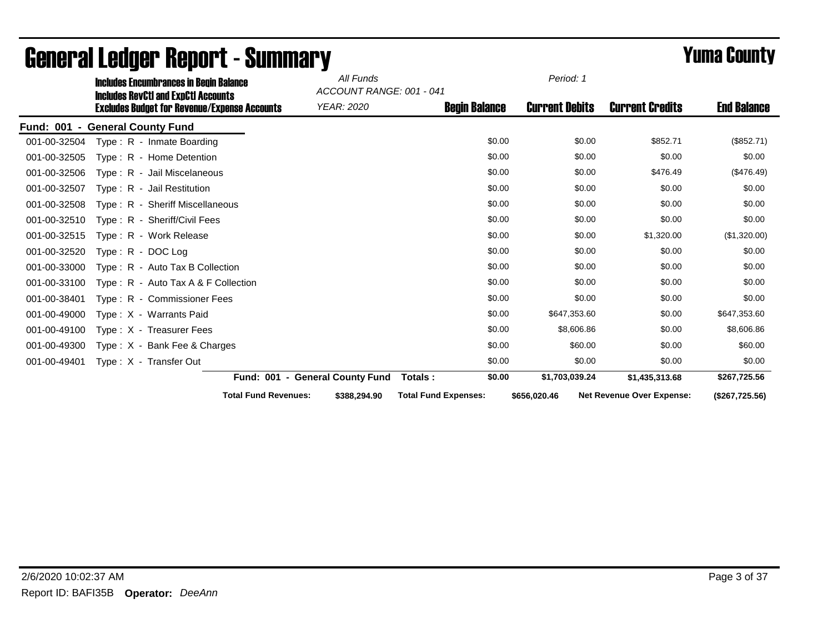|                  | <b>Includes Encumbrances in Begin Balance</b>                                                     |                                 | All Funds<br>ACCOUNT RANGE: 001 - 041 |                             |        | Period: 1             |                                  |                    |
|------------------|---------------------------------------------------------------------------------------------------|---------------------------------|---------------------------------------|-----------------------------|--------|-----------------------|----------------------------------|--------------------|
|                  | <b>Includes RevCtI and ExpCtI Accounts</b><br><b>Excludes Budget for Revenue/Expense Accounts</b> |                                 | <b>YEAR: 2020</b>                     | <b>Begin Balance</b>        |        | <b>Current Debits</b> | <b>Current Credits</b>           | <b>End Balance</b> |
| <b>Fund: 001</b> | - General County Fund                                                                             |                                 |                                       |                             |        |                       |                                  |                    |
| 001-00-32504     | Type: R - Inmate Boarding                                                                         |                                 |                                       |                             | \$0.00 | \$0.00                | \$852.71                         | (\$852.71)         |
| 001-00-32505     | Type: R - Home Detention                                                                          |                                 |                                       |                             | \$0.00 | \$0.00                | \$0.00                           | \$0.00             |
| 001-00-32506     | Type: R - Jail Miscelaneous                                                                       |                                 |                                       |                             | \$0.00 | \$0.00                | \$476.49                         | $(\$476.49)$       |
| 001-00-32507     | Type: R - Jail Restitution                                                                        |                                 |                                       |                             | \$0.00 | \$0.00                | \$0.00                           | \$0.00             |
| 001-00-32508     | Type: R - Sheriff Miscellaneous                                                                   |                                 |                                       |                             | \$0.00 | \$0.00                | \$0.00                           | \$0.00             |
| 001-00-32510     | Type: R - Sheriff/Civil Fees                                                                      |                                 |                                       |                             | \$0.00 | \$0.00                | \$0.00                           | \$0.00             |
| 001-00-32515     | Type: R - Work Release                                                                            |                                 |                                       |                             | \$0.00 | \$0.00                | \$1,320.00                       | (\$1,320.00)       |
| 001-00-32520     | Type: R - DOC Log                                                                                 |                                 |                                       |                             | \$0.00 | \$0.00                | \$0.00                           | \$0.00             |
| 001-00-33000     | Type: R - Auto Tax B Collection                                                                   |                                 |                                       |                             | \$0.00 | \$0.00                | \$0.00                           | \$0.00             |
| 001-00-33100     | Type: $R -$ Auto Tax A & F Collection                                                             |                                 |                                       |                             | \$0.00 | \$0.00                | \$0.00                           | \$0.00             |
| 001-00-38401     | Type: R - Commissioner Fees                                                                       |                                 |                                       |                             | \$0.00 | \$0.00                | \$0.00                           | \$0.00             |
| 001-00-49000     | Type: X - Warrants Paid                                                                           |                                 |                                       |                             | \$0.00 | \$647,353.60          | \$0.00                           | \$647,353.60       |
| 001-00-49100     | Type: X - Treasurer Fees                                                                          |                                 |                                       |                             | \$0.00 | \$8,606.86            | \$0.00                           | \$8,606.86         |
| 001-00-49300     | Type: X - Bank Fee & Charges                                                                      |                                 |                                       |                             | \$0.00 | \$60.00               | \$0.00                           | \$60.00            |
| 001-00-49401     | Type: X - Transfer Out                                                                            |                                 |                                       |                             | \$0.00 | \$0.00                | \$0.00                           | \$0.00             |
|                  |                                                                                                   | Fund: 001 - General County Fund |                                       | Totals:                     | \$0.00 | \$1,703,039.24        | \$1,435,313.68                   | \$267,725.56       |
|                  |                                                                                                   | <b>Total Fund Revenues:</b>     | \$388,294.90                          | <b>Total Fund Expenses:</b> |        | \$656,020.46          | <b>Net Revenue Over Expense:</b> | (\$267,725.56)     |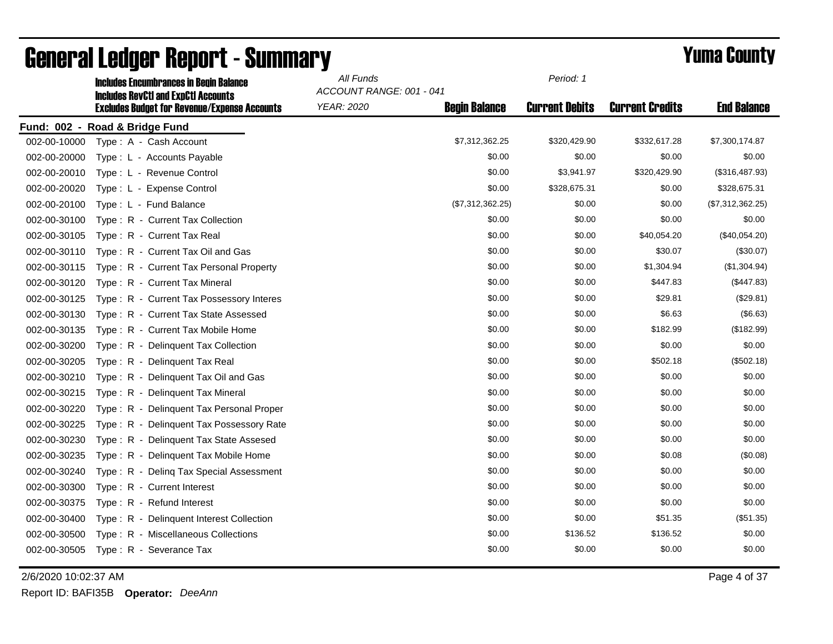|              | <b>Includes Encumbrances in Begin Balance</b><br><b>Includes RevCtI and ExpCtI Accounts</b> | All Funds<br>ACCOUNT RANGE: 001 - 041 |                      | Period: 1             |                        |                    |
|--------------|---------------------------------------------------------------------------------------------|---------------------------------------|----------------------|-----------------------|------------------------|--------------------|
|              | <b>Excludes Budget for Revenue/Expense Accounts</b>                                         | YEAR: 2020                            | <b>Begin Balance</b> | <b>Current Debits</b> | <b>Current Credits</b> | <b>End Balance</b> |
|              | Fund: 002 - Road & Bridge Fund                                                              |                                       |                      |                       |                        |                    |
| 002-00-10000 | Type: A - Cash Account                                                                      |                                       | \$7,312,362.25       | \$320,429.90          | \$332,617.28           | \$7,300,174.87     |
| 002-00-20000 | Type: L - Accounts Payable                                                                  |                                       | \$0.00               | \$0.00                | \$0.00                 | \$0.00             |
| 002-00-20010 | Type: L - Revenue Control                                                                   |                                       | \$0.00               | \$3,941.97            | \$320,429.90           | (\$316,487.93)     |
| 002-00-20020 | Type: L - Expense Control                                                                   |                                       | \$0.00               | \$328,675.31          | \$0.00                 | \$328,675.31       |
| 002-00-20100 | Type: L - Fund Balance                                                                      |                                       | (\$7,312,362.25)     | \$0.00                | \$0.00                 | (\$7,312,362.25)   |
| 002-00-30100 | Type: R - Current Tax Collection                                                            |                                       | \$0.00               | \$0.00                | \$0.00                 | \$0.00             |
| 002-00-30105 | Type: R - Current Tax Real                                                                  |                                       | \$0.00               | \$0.00                | \$40,054.20            | (\$40,054.20)      |
| 002-00-30110 | Type: R - Current Tax Oil and Gas                                                           |                                       | \$0.00               | \$0.00                | \$30.07                | (\$30.07)          |
| 002-00-30115 | Type: R - Current Tax Personal Property                                                     |                                       | \$0.00               | \$0.00                | \$1,304.94             | (\$1,304.94)       |
| 002-00-30120 | Type: R - Current Tax Mineral                                                               |                                       | \$0.00               | \$0.00                | \$447.83               | (\$447.83)         |
| 002-00-30125 | Type: R - Current Tax Possessory Interes                                                    |                                       | \$0.00               | \$0.00                | \$29.81                | (\$29.81)          |
| 002-00-30130 | Type: R - Current Tax State Assessed                                                        |                                       | \$0.00               | \$0.00                | \$6.63                 | (\$6.63)           |
| 002-00-30135 | Type: R - Current Tax Mobile Home                                                           |                                       | \$0.00               | \$0.00                | \$182.99               | (\$182.99)         |
| 002-00-30200 | Type: R - Delinquent Tax Collection                                                         |                                       | \$0.00               | \$0.00                | \$0.00                 | \$0.00             |
| 002-00-30205 | Type: R - Delinguent Tax Real                                                               |                                       | \$0.00               | \$0.00                | \$502.18               | (\$502.18)         |
| 002-00-30210 | Type: R - Delinquent Tax Oil and Gas                                                        |                                       | \$0.00               | \$0.00                | \$0.00                 | \$0.00             |
| 002-00-30215 | Type: R - Delinquent Tax Mineral                                                            |                                       | \$0.00               | \$0.00                | \$0.00                 | \$0.00             |
| 002-00-30220 | Type: R - Delinquent Tax Personal Proper                                                    |                                       | \$0.00               | \$0.00                | \$0.00                 | \$0.00             |
| 002-00-30225 | Type: R - Delinquent Tax Possessory Rate                                                    |                                       | \$0.00               | \$0.00                | \$0.00                 | \$0.00             |
| 002-00-30230 | Type: R - Delinquent Tax State Assesed                                                      |                                       | \$0.00               | \$0.00                | \$0.00                 | \$0.00             |
| 002-00-30235 | Type: R - Delinquent Tax Mobile Home                                                        |                                       | \$0.00               | \$0.00                | \$0.08                 | (\$0.08)           |
| 002-00-30240 | Type: R - Deling Tax Special Assessment                                                     |                                       | \$0.00               | \$0.00                | \$0.00                 | \$0.00             |
| 002-00-30300 | Type: R - Current Interest                                                                  |                                       | \$0.00               | \$0.00                | \$0.00                 | \$0.00             |
| 002-00-30375 | Type: R - Refund Interest                                                                   |                                       | \$0.00               | \$0.00                | \$0.00                 | \$0.00             |
| 002-00-30400 | Type: R - Delinquent Interest Collection                                                    |                                       | \$0.00               | \$0.00                | \$51.35                | (\$51.35)          |
| 002-00-30500 | Type: R - Miscellaneous Collections                                                         |                                       | \$0.00               | \$136.52              | \$136.52               | \$0.00             |
| 002-00-30505 | Type: R - Severance Tax                                                                     |                                       | \$0.00               | \$0.00                | \$0.00                 | \$0.00             |

2/6/2020 10:02:37 AM Page 4 of 37

Report ID: BAFI35B **Operator:** *DeeAnn*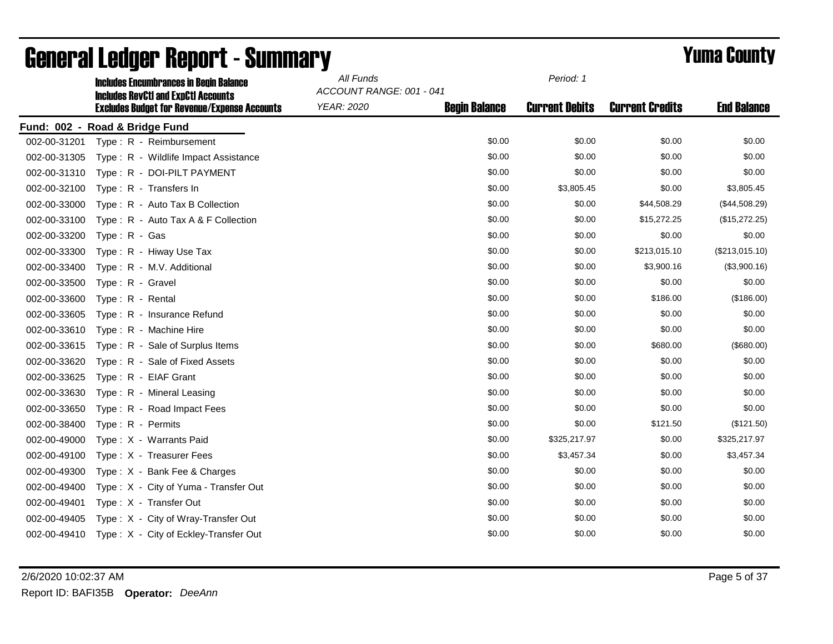|              | <b>Includes Encumbrances in Begin Balance</b><br><b>Includes RevCtI and ExpCtI Accounts</b> | All Funds  | Period: 1<br>ACCOUNT RANGE: 001 - 041 |                       |                        |                    |
|--------------|---------------------------------------------------------------------------------------------|------------|---------------------------------------|-----------------------|------------------------|--------------------|
|              | <b>Excludes Budget for Revenue/Expense Accounts</b>                                         | YEAR: 2020 | <b>Begin Balance</b>                  | <b>Current Debits</b> | <b>Current Credits</b> | <b>End Balance</b> |
|              | Fund: 002 - Road & Bridge Fund                                                              |            |                                       |                       |                        |                    |
|              | 002-00-31201    Type: R - Reimbursement                                                     |            | \$0.00                                | \$0.00                | \$0.00                 | \$0.00             |
| 002-00-31305 | Type: R - Wildlife Impact Assistance                                                        |            | \$0.00                                | \$0.00                | \$0.00                 | \$0.00             |
| 002-00-31310 | Type: R - DOI-PILT PAYMENT                                                                  |            | \$0.00                                | \$0.00                | \$0.00                 | \$0.00             |
| 002-00-32100 | Type: R - Transfers In                                                                      |            | \$0.00                                | \$3,805.45            | \$0.00                 | \$3,805.45         |
| 002-00-33000 | Type: R - Auto Tax B Collection                                                             |            | \$0.00                                | \$0.00                | \$44,508.29            | (\$44,508.29)      |
| 002-00-33100 | Type: R - Auto Tax A & F Collection                                                         |            | \$0.00                                | \$0.00                | \$15,272.25            | (\$15,272.25)      |
| 002-00-33200 | Type: R - Gas                                                                               |            | \$0.00                                | \$0.00                | \$0.00                 | \$0.00             |
| 002-00-33300 | Type: R - Hiway Use Tax                                                                     |            | \$0.00                                | \$0.00                | \$213,015.10           | (\$213,015.10)     |
| 002-00-33400 | Type: R - M.V. Additional                                                                   |            | \$0.00                                | \$0.00                | \$3,900.16             | (\$3,900.16)       |
| 002-00-33500 | Type: R - Gravel                                                                            |            | \$0.00                                | \$0.00                | \$0.00                 | \$0.00             |
| 002-00-33600 | Type: R - Rental                                                                            |            | \$0.00                                | \$0.00                | \$186.00               | (\$186.00)         |
| 002-00-33605 | Type: R - Insurance Refund                                                                  |            | \$0.00                                | \$0.00                | \$0.00                 | \$0.00             |
| 002-00-33610 | Type: R - Machine Hire                                                                      |            | \$0.00                                | \$0.00                | \$0.00                 | \$0.00             |
| 002-00-33615 | Type: R - Sale of Surplus Items                                                             |            | \$0.00                                | \$0.00                | \$680.00               | (\$680.00)         |
| 002-00-33620 | Type: R - Sale of Fixed Assets                                                              |            | \$0.00                                | \$0.00                | \$0.00                 | \$0.00             |
| 002-00-33625 | Type: R - EIAF Grant                                                                        |            | \$0.00                                | \$0.00                | \$0.00                 | \$0.00             |
| 002-00-33630 | Type: R - Mineral Leasing                                                                   |            | \$0.00                                | \$0.00                | \$0.00                 | \$0.00             |
| 002-00-33650 | Type: R - Road Impact Fees                                                                  |            | \$0.00                                | \$0.00                | \$0.00                 | \$0.00             |
| 002-00-38400 | Type: R - Permits                                                                           |            | \$0.00                                | \$0.00                | \$121.50               | (\$121.50)         |
| 002-00-49000 | Type: X - Warrants Paid                                                                     |            | \$0.00                                | \$325,217.97          | \$0.00                 | \$325,217.97       |
| 002-00-49100 | Type: X - Treasurer Fees                                                                    |            | \$0.00                                | \$3,457.34            | \$0.00                 | \$3,457.34         |
| 002-00-49300 | Type: X - Bank Fee & Charges                                                                |            | \$0.00                                | \$0.00                | \$0.00                 | \$0.00             |
| 002-00-49400 | Type: X - City of Yuma - Transfer Out                                                       |            | \$0.00                                | \$0.00                | \$0.00                 | \$0.00             |
| 002-00-49401 | Type: X - Transfer Out                                                                      |            | \$0.00                                | \$0.00                | \$0.00                 | \$0.00             |
| 002-00-49405 | Type: X - City of Wray-Transfer Out                                                         |            | \$0.00                                | \$0.00                | \$0.00                 | \$0.00             |
|              | 002-00-49410 Type: X - City of Eckley-Transfer Out                                          |            | \$0.00                                | \$0.00                | \$0.00                 | \$0.00             |

2/6/2020 10:02:37 AM Page 5 of 37 Report ID: BAFI35B **Operator:** *DeeAnn*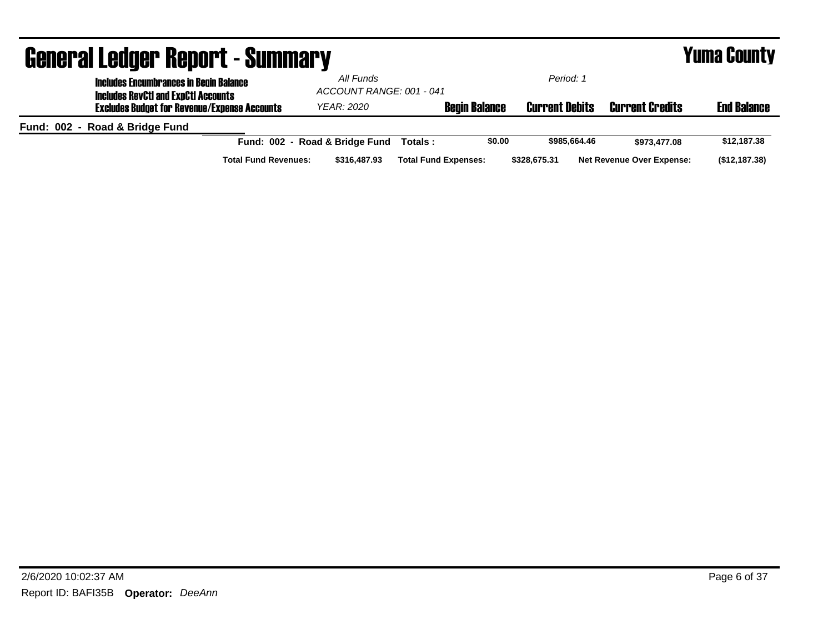| <b>General Ledger Report - Summary</b>                                                      | <b>Yuma County</b>                          |                             |              |                                  |                    |
|---------------------------------------------------------------------------------------------|---------------------------------------------|-----------------------------|--------------|----------------------------------|--------------------|
| <b>Includes Encumbrances in Begin Balance</b><br><b>Includes RevCtI and ExpCtI Accounts</b> | All Funds                                   | ACCOUNT RANGE: 001 - 041    |              |                                  |                    |
| <b>Excludes Budget for Revenue/Expense Accounts</b>                                         | <b>YEAR: 2020</b>                           | <b>Begin Balance</b>        |              | <b>Current Credits</b>           | <b>End Balance</b> |
| Fund: 002 - Road & Bridge Fund                                                              |                                             |                             |              |                                  |                    |
|                                                                                             | Fund: 002 - Road & Bridge Fund              | \$0.00<br>Totals :          | \$985.664.46 | \$973.477.08                     | \$12,187.38        |
|                                                                                             | <b>Total Fund Revenues:</b><br>\$316,487.93 | <b>Total Fund Expenses:</b> | \$328,675.31 | <b>Net Revenue Over Expense:</b> | (\$12,187.38)      |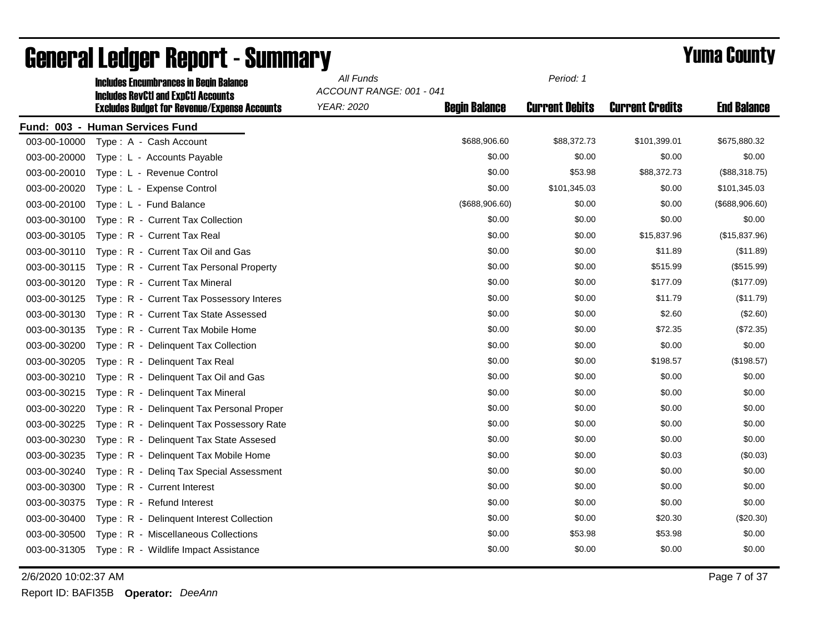|              | <b>Includes Encumbrances in Begin Balance</b><br><b>Includes RevCtI and ExpCtI Accounts</b> | All Funds<br>ACCOUNT RANGE: 001 - 041 |                      | Period: 1             |                        |                    |
|--------------|---------------------------------------------------------------------------------------------|---------------------------------------|----------------------|-----------------------|------------------------|--------------------|
|              | <b>Excludes Budget for Revenue/Expense Accounts</b>                                         | YEAR: 2020                            | <b>Begin Balance</b> | <b>Current Debits</b> | <b>Current Credits</b> | <b>End Balance</b> |
|              | Fund: 003 - Human Services Fund                                                             |                                       |                      |                       |                        |                    |
| 003-00-10000 | Type: A - Cash Account                                                                      |                                       | \$688,906.60         | \$88,372.73           | \$101,399.01           | \$675,880.32       |
| 003-00-20000 | Type: L - Accounts Payable                                                                  |                                       | \$0.00               | \$0.00                | \$0.00                 | \$0.00             |
| 003-00-20010 | Type: L - Revenue Control                                                                   |                                       | \$0.00               | \$53.98               | \$88,372.73            | (\$88,318.75)      |
| 003-00-20020 | Type: L - Expense Control                                                                   |                                       | \$0.00               | \$101,345.03          | \$0.00                 | \$101,345.03       |
| 003-00-20100 | Type: L - Fund Balance                                                                      |                                       | (\$688,906.60)       | \$0.00                | \$0.00                 | (\$688,906.60)     |
| 003-00-30100 | Type: R - Current Tax Collection                                                            |                                       | \$0.00               | \$0.00                | \$0.00                 | \$0.00             |
| 003-00-30105 | Type: R - Current Tax Real                                                                  |                                       | \$0.00               | \$0.00                | \$15,837.96            | (\$15,837.96)      |
| 003-00-30110 | Type: R - Current Tax Oil and Gas                                                           |                                       | \$0.00               | \$0.00                | \$11.89                | (\$11.89)          |
| 003-00-30115 | Type: R - Current Tax Personal Property                                                     |                                       | \$0.00               | \$0.00                | \$515.99               | (\$515.99)         |
| 003-00-30120 | Type: R - Current Tax Mineral                                                               |                                       | \$0.00               | \$0.00                | \$177.09               | (\$177.09)         |
| 003-00-30125 | Type: R - Current Tax Possessory Interes                                                    |                                       | \$0.00               | \$0.00                | \$11.79                | (\$11.79)          |
| 003-00-30130 | Type: R - Current Tax State Assessed                                                        |                                       | \$0.00               | \$0.00                | \$2.60                 | (\$2.60)           |
| 003-00-30135 | Type: R - Current Tax Mobile Home                                                           |                                       | \$0.00               | \$0.00                | \$72.35                | (\$72.35)          |
| 003-00-30200 | Type: R - Delinguent Tax Collection                                                         |                                       | \$0.00               | \$0.00                | \$0.00                 | \$0.00             |
| 003-00-30205 | Type: R - Delinquent Tax Real                                                               |                                       | \$0.00               | \$0.00                | \$198.57               | (\$198.57)         |
| 003-00-30210 | Type: R - Delinquent Tax Oil and Gas                                                        |                                       | \$0.00               | \$0.00                | \$0.00                 | \$0.00             |
| 003-00-30215 | Type: R - Delinquent Tax Mineral                                                            |                                       | \$0.00               | \$0.00                | \$0.00                 | \$0.00             |
| 003-00-30220 | Type: R - Delinguent Tax Personal Proper                                                    |                                       | \$0.00               | \$0.00                | \$0.00                 | \$0.00             |
| 003-00-30225 | Type: R - Delinquent Tax Possessory Rate                                                    |                                       | \$0.00               | \$0.00                | \$0.00                 | \$0.00             |
| 003-00-30230 | Type: R - Delinquent Tax State Assesed                                                      |                                       | \$0.00               | \$0.00                | \$0.00                 | \$0.00             |
| 003-00-30235 | Type: R - Delinquent Tax Mobile Home                                                        |                                       | \$0.00               | \$0.00                | \$0.03                 | (\$0.03)           |
| 003-00-30240 | Type: R - Deling Tax Special Assessment                                                     |                                       | \$0.00               | \$0.00                | \$0.00                 | \$0.00             |
| 003-00-30300 | Type: R - Current Interest                                                                  |                                       | \$0.00               | \$0.00                | \$0.00                 | \$0.00             |
| 003-00-30375 | Type: R - Refund Interest                                                                   |                                       | \$0.00               | \$0.00                | \$0.00                 | \$0.00             |
| 003-00-30400 | Type: R - Delinquent Interest Collection                                                    |                                       | \$0.00               | \$0.00                | \$20.30                | (\$20.30)          |
| 003-00-30500 | Type: R - Miscellaneous Collections                                                         |                                       | \$0.00               | \$53.98               | \$53.98                | \$0.00             |
| 003-00-31305 | Type: R - Wildlife Impact Assistance                                                        |                                       | \$0.00               | \$0.00                | \$0.00                 | \$0.00             |

2/6/2020 10:02:37 AM Page 7 of 37

Report ID: BAFI35B **Operator:** *DeeAnn*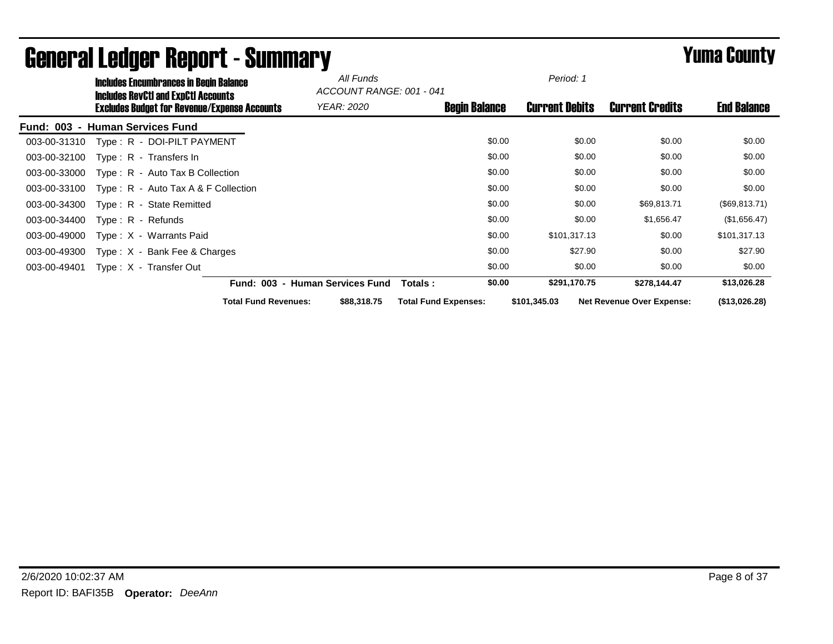|                  |                     | <b>Includes Encumbrances in Begin Balance</b>                                                     |                                 | All Funds<br>ACCOUNT RANGE: 001 - 041 |                             |        | Period: 1             |        |                                  |                    |
|------------------|---------------------|---------------------------------------------------------------------------------------------------|---------------------------------|---------------------------------------|-----------------------------|--------|-----------------------|--------|----------------------------------|--------------------|
|                  |                     | <b>Includes RevCtI and ExpCtI Accounts</b><br><b>Excludes Budget for Revenue/Expense Accounts</b> |                                 | <b>YEAR: 2020</b>                     | <b>Begin Balance</b>        |        | <b>Current Debits</b> |        | <b>Current Credits</b>           | <b>End Balance</b> |
| <b>Fund: 003</b> |                     | - Human Services Fund                                                                             |                                 |                                       |                             |        |                       |        |                                  |                    |
| 003-00-31310     |                     | Type: R - DOI-PILT PAYMENT                                                                        |                                 |                                       |                             | \$0.00 |                       | \$0.00 | \$0.00                           | \$0.00             |
| 003-00-32100     |                     | Type: R - Transfers In                                                                            |                                 |                                       |                             | \$0.00 |                       | \$0.00 | \$0.00                           | \$0.00             |
| 003-00-33000     |                     | $Type: R - Auto Tax B Collection$                                                                 |                                 |                                       |                             | \$0.00 |                       | \$0.00 | \$0.00                           | \$0.00             |
| 003-00-33100     |                     | Type: $R -$ Auto Tax A & F Collection                                                             |                                 |                                       |                             | \$0.00 |                       | \$0.00 | \$0.00                           | \$0.00             |
| 003-00-34300     |                     | Type: R - State Remitted                                                                          |                                 |                                       |                             | \$0.00 |                       | \$0.00 | \$69,813.71                      | (\$69,813.71)      |
| 003-00-34400     | $Type: R - Refunds$ |                                                                                                   |                                 |                                       |                             | \$0.00 |                       | \$0.00 | \$1,656.47                       | (\$1,656.47)       |
| 003-00-49000     |                     | Type: X - Warrants Paid                                                                           |                                 |                                       |                             | \$0.00 | \$101,317.13          |        | \$0.00                           | \$101,317.13       |
| 003-00-49300     |                     | Type: X - Bank Fee & Charges                                                                      |                                 |                                       |                             | \$0.00 | \$27.90               |        | \$0.00                           | \$27.90            |
| 003-00-49401     |                     | Type: X - Transfer Out                                                                            |                                 |                                       |                             | \$0.00 |                       | \$0.00 | \$0.00                           | \$0.00             |
|                  |                     |                                                                                                   | Fund: 003 - Human Services Fund |                                       | Totals :                    | \$0.00 | \$291,170.75          |        | \$278,144.47                     | \$13,026.28        |
|                  |                     |                                                                                                   | <b>Total Fund Revenues:</b>     | \$88,318.75                           | <b>Total Fund Expenses:</b> |        | \$101,345.03          |        | <b>Net Revenue Over Expense:</b> | (\$13,026.28)      |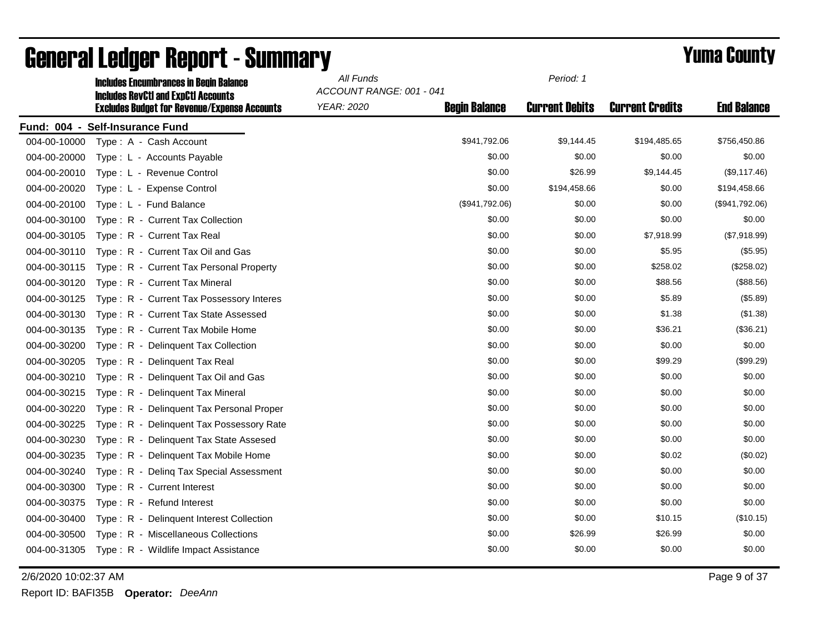|              | <b>Includes Encumbrances in Begin Balance</b><br><b>Includes RevCtI and ExpCtI Accounts</b> | All Funds<br>ACCOUNT RANGE: 001 - 041 |                      | Period: 1             |                        |                    |
|--------------|---------------------------------------------------------------------------------------------|---------------------------------------|----------------------|-----------------------|------------------------|--------------------|
|              | <b>Excludes Budget for Revenue/Expense Accounts</b>                                         | YEAR: 2020                            | <b>Begin Balance</b> | <b>Current Debits</b> | <b>Current Credits</b> | <b>End Balance</b> |
|              | Fund: 004 - Self-Insurance Fund                                                             |                                       |                      |                       |                        |                    |
| 004-00-10000 | Type: A - Cash Account                                                                      |                                       | \$941,792.06         | \$9,144.45            | \$194,485.65           | \$756,450.86       |
| 004-00-20000 | Type: L - Accounts Payable                                                                  |                                       | \$0.00               | \$0.00                | \$0.00                 | \$0.00             |
| 004-00-20010 | Type: L - Revenue Control                                                                   |                                       | \$0.00               | \$26.99               | \$9,144.45             | (\$9,117.46)       |
| 004-00-20020 | Type: L - Expense Control                                                                   |                                       | \$0.00               | \$194,458.66          | \$0.00                 | \$194,458.66       |
| 004-00-20100 | Type: L - Fund Balance                                                                      |                                       | (\$941,792.06)       | \$0.00                | \$0.00                 | (\$941,792.06)     |
| 004-00-30100 | Type: R - Current Tax Collection                                                            |                                       | \$0.00               | \$0.00                | \$0.00                 | \$0.00             |
| 004-00-30105 | Type: R - Current Tax Real                                                                  |                                       | \$0.00               | \$0.00                | \$7,918.99             | (\$7,918.99)       |
| 004-00-30110 | Type: R - Current Tax Oil and Gas                                                           |                                       | \$0.00               | \$0.00                | \$5.95                 | (\$5.95)           |
| 004-00-30115 | Type: R - Current Tax Personal Property                                                     |                                       | \$0.00               | \$0.00                | \$258.02               | (\$258.02)         |
| 004-00-30120 | Type: R - Current Tax Mineral                                                               |                                       | \$0.00               | \$0.00                | \$88.56                | (\$88.56)          |
| 004-00-30125 | Type: R - Current Tax Possessory Interes                                                    |                                       | \$0.00               | \$0.00                | \$5.89                 | (\$5.89)           |
| 004-00-30130 | Type: R - Current Tax State Assessed                                                        |                                       | \$0.00               | \$0.00                | \$1.38                 | (\$1.38)           |
| 004-00-30135 | Type: R - Current Tax Mobile Home                                                           |                                       | \$0.00               | \$0.00                | \$36.21                | (\$36.21)          |
| 004-00-30200 | Type: R - Delinquent Tax Collection                                                         |                                       | \$0.00               | \$0.00                | \$0.00                 | \$0.00             |
| 004-00-30205 | Type: R - Delinquent Tax Real                                                               |                                       | \$0.00               | \$0.00                | \$99.29                | (\$99.29)          |
| 004-00-30210 | Type: R - Delinquent Tax Oil and Gas                                                        |                                       | \$0.00               | \$0.00                | \$0.00                 | \$0.00             |
| 004-00-30215 | Type: R - Delinquent Tax Mineral                                                            |                                       | \$0.00               | \$0.00                | \$0.00                 | \$0.00             |
| 004-00-30220 | Type: R - Delinguent Tax Personal Proper                                                    |                                       | \$0.00               | \$0.00                | \$0.00                 | \$0.00             |
| 004-00-30225 | Type: R - Delinquent Tax Possessory Rate                                                    |                                       | \$0.00               | \$0.00                | \$0.00                 | \$0.00             |
| 004-00-30230 | Type: R - Delinquent Tax State Assesed                                                      |                                       | \$0.00               | \$0.00                | \$0.00                 | \$0.00             |
| 004-00-30235 | Type: R - Delinquent Tax Mobile Home                                                        |                                       | \$0.00               | \$0.00                | \$0.02                 | (\$0.02)           |
| 004-00-30240 | Type: R - Deling Tax Special Assessment                                                     |                                       | \$0.00               | \$0.00                | \$0.00                 | \$0.00             |
| 004-00-30300 | Type: R - Current Interest                                                                  |                                       | \$0.00               | \$0.00                | \$0.00                 | \$0.00             |
| 004-00-30375 | Type: R - Refund Interest                                                                   |                                       | \$0.00               | \$0.00                | \$0.00                 | \$0.00             |
| 004-00-30400 | Type: R - Delinquent Interest Collection                                                    |                                       | \$0.00               | \$0.00                | \$10.15                | (\$10.15)          |
| 004-00-30500 | Type: R - Miscellaneous Collections                                                         |                                       | \$0.00               | \$26.99               | \$26.99                | \$0.00             |
| 004-00-31305 | Type: R - Wildlife Impact Assistance                                                        |                                       | \$0.00               | \$0.00                | \$0.00                 | \$0.00             |

2/6/2020 10:02:37 AM Page 9 of 37

Report ID: BAFI35B **Operator:** *DeeAnn*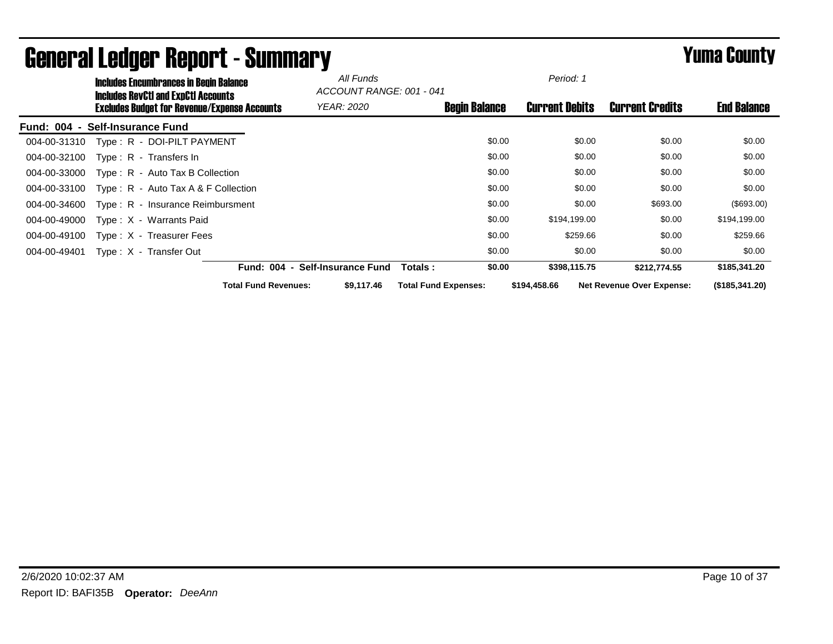|              | <b>Includes Encumbrances in Begin Balance</b><br><b>Includes RevCtI and ExpCtI Accounts</b> |                             | All Funds<br>ACCOUNT RANGE: 001 - 041 |                      |        | Period: 1             |                                  |                    |
|--------------|---------------------------------------------------------------------------------------------|-----------------------------|---------------------------------------|----------------------|--------|-----------------------|----------------------------------|--------------------|
|              | Excludes Budget for Revenue/Expense Accounts                                                |                             | <i>YEAR: 2020</i>                     | <b>Begin Balance</b> |        | <b>Current Debits</b> | <b>Current Credits</b>           | <b>End Balance</b> |
|              | Fund: 004 - Self-Insurance Fund                                                             |                             |                                       |                      |        |                       |                                  |                    |
| 004-00-31310 | Type: R - DOI-PILT PAYMENT                                                                  |                             |                                       |                      | \$0.00 | \$0.00                | \$0.00                           | \$0.00             |
| 004-00-32100 | Type: $R -$ Transfers In                                                                    |                             |                                       |                      | \$0.00 | \$0.00                | \$0.00                           | \$0.00             |
| 004-00-33000 | $Type: R - Auto Tax B Collection$                                                           |                             |                                       |                      | \$0.00 | \$0.00                | \$0.00                           | \$0.00             |
| 004-00-33100 | Type: $R -$ Auto Tax A & F Collection                                                       |                             |                                       |                      | \$0.00 | \$0.00                | \$0.00                           | \$0.00             |
| 004-00-34600 | Type: R - Insurance Reimbursment                                                            |                             |                                       |                      | \$0.00 | \$0.00                | \$693.00                         | (\$693.00)         |
| 004-00-49000 | Type: X - Warrants Paid                                                                     |                             |                                       |                      | \$0.00 | \$194,199.00          | \$0.00                           | \$194,199.00       |
| 004-00-49100 | Type: X - Treasurer Fees                                                                    |                             |                                       |                      | \$0.00 | \$259.66              | \$0.00                           | \$259.66           |
| 004-00-49401 | Type: X - Transfer Out                                                                      |                             |                                       |                      | \$0.00 | \$0.00                | \$0.00                           | \$0.00             |
|              |                                                                                             | <b>Fund: 004</b>            | <b>Self-Insurance Fund</b>            | Totals:              | \$0.00 | \$398,115.75          | \$212,774.55                     | \$185,341.20       |
|              |                                                                                             | <b>Total Fund Revenues:</b> | \$9,117,46                            | Total Fund Expenses: |        | \$194,458.66          | <b>Net Revenue Over Expense:</b> | (\$185,341.20)     |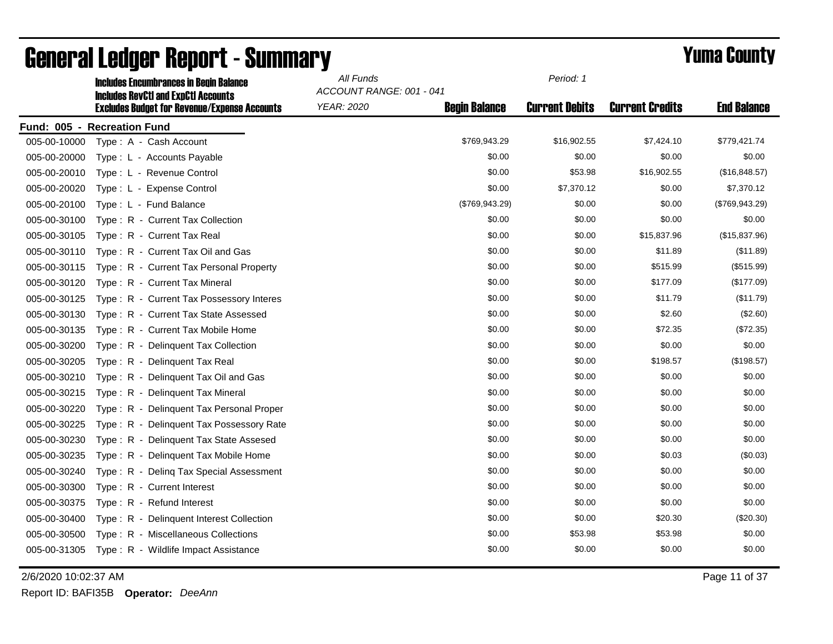|              | <b>Includes Encumbrances in Begin Balance</b><br><b>Includes RevCtI and ExpCtI Accounts</b> | All Funds<br>ACCOUNT RANGE: 001 - 041 |                      | Period: 1             |                        |                    |
|--------------|---------------------------------------------------------------------------------------------|---------------------------------------|----------------------|-----------------------|------------------------|--------------------|
|              | <b>Excludes Budget for Revenue/Expense Accounts</b>                                         | <b>YEAR: 2020</b>                     | <b>Begin Balance</b> | <b>Current Debits</b> | <b>Current Credits</b> | <b>End Balance</b> |
|              | Fund: 005 - Recreation Fund                                                                 |                                       |                      |                       |                        |                    |
| 005-00-10000 | Type: A - Cash Account                                                                      |                                       | \$769,943.29         | \$16,902.55           | \$7,424.10             | \$779,421.74       |
| 005-00-20000 | Type: L - Accounts Payable                                                                  |                                       | \$0.00               | \$0.00                | \$0.00                 | \$0.00             |
| 005-00-20010 | Type: L - Revenue Control                                                                   |                                       | \$0.00               | \$53.98               | \$16,902.55            | (\$16,848.57)      |
| 005-00-20020 | Type: L - Expense Control                                                                   |                                       | \$0.00               | \$7,370.12            | \$0.00                 | \$7,370.12         |
| 005-00-20100 | Type: L - Fund Balance                                                                      |                                       | (\$769, 943.29)      | \$0.00                | \$0.00                 | (\$769,943.29)     |
| 005-00-30100 | Type: R - Current Tax Collection                                                            |                                       | \$0.00               | \$0.00                | \$0.00                 | \$0.00             |
| 005-00-30105 | Type: R - Current Tax Real                                                                  |                                       | \$0.00               | \$0.00                | \$15,837.96            | (\$15,837.96)      |
| 005-00-30110 | Type: R - Current Tax Oil and Gas                                                           |                                       | \$0.00               | \$0.00                | \$11.89                | (\$11.89)          |
| 005-00-30115 | Type: R - Current Tax Personal Property                                                     |                                       | \$0.00               | \$0.00                | \$515.99               | (\$515.99)         |
| 005-00-30120 | Type: R - Current Tax Mineral                                                               |                                       | \$0.00               | \$0.00                | \$177.09               | (\$177.09)         |
| 005-00-30125 | Type: R - Current Tax Possessory Interes                                                    |                                       | \$0.00               | \$0.00                | \$11.79                | (\$11.79)          |
| 005-00-30130 | Type: R - Current Tax State Assessed                                                        |                                       | \$0.00               | \$0.00                | \$2.60                 | (\$2.60)           |
| 005-00-30135 | Type: R - Current Tax Mobile Home                                                           |                                       | \$0.00               | \$0.00                | \$72.35                | (\$72.35)          |
| 005-00-30200 | Type: R - Delinquent Tax Collection                                                         |                                       | \$0.00               | \$0.00                | \$0.00                 | \$0.00             |
| 005-00-30205 | Type: R - Delinquent Tax Real                                                               |                                       | \$0.00               | \$0.00                | \$198.57               | (\$198.57)         |
| 005-00-30210 | Type: R - Delinquent Tax Oil and Gas                                                        |                                       | \$0.00               | \$0.00                | \$0.00                 | \$0.00             |
| 005-00-30215 | Type: R - Delinquent Tax Mineral                                                            |                                       | \$0.00               | \$0.00                | \$0.00                 | \$0.00             |
| 005-00-30220 | Type: R - Delinguent Tax Personal Proper                                                    |                                       | \$0.00               | \$0.00                | \$0.00                 | \$0.00             |
| 005-00-30225 | Type: R - Delinquent Tax Possessory Rate                                                    |                                       | \$0.00               | \$0.00                | \$0.00                 | \$0.00             |
| 005-00-30230 | Type: R - Delinguent Tax State Assesed                                                      |                                       | \$0.00               | \$0.00                | \$0.00                 | \$0.00             |
| 005-00-30235 | Type: R - Delinquent Tax Mobile Home                                                        |                                       | \$0.00               | \$0.00                | \$0.03                 | (\$0.03)           |
| 005-00-30240 | Type: R - Deling Tax Special Assessment                                                     |                                       | \$0.00               | \$0.00                | \$0.00                 | \$0.00             |
| 005-00-30300 | Type: R - Current Interest                                                                  |                                       | \$0.00               | \$0.00                | \$0.00                 | \$0.00             |
| 005-00-30375 | Type: R - Refund Interest                                                                   |                                       | \$0.00               | \$0.00                | \$0.00                 | \$0.00             |
| 005-00-30400 | Type: R - Delinquent Interest Collection                                                    |                                       | \$0.00               | \$0.00                | \$20.30                | (\$20.30)          |
| 005-00-30500 | Type: R - Miscellaneous Collections                                                         |                                       | \$0.00               | \$53.98               | \$53.98                | \$0.00             |
| 005-00-31305 | Type: R - Wildlife Impact Assistance                                                        |                                       | \$0.00               | \$0.00                | \$0.00                 | \$0.00             |

2/6/2020 10:02:37 AM Page 11 of 37

Report ID: BAFI35B **Operator:** *DeeAnn*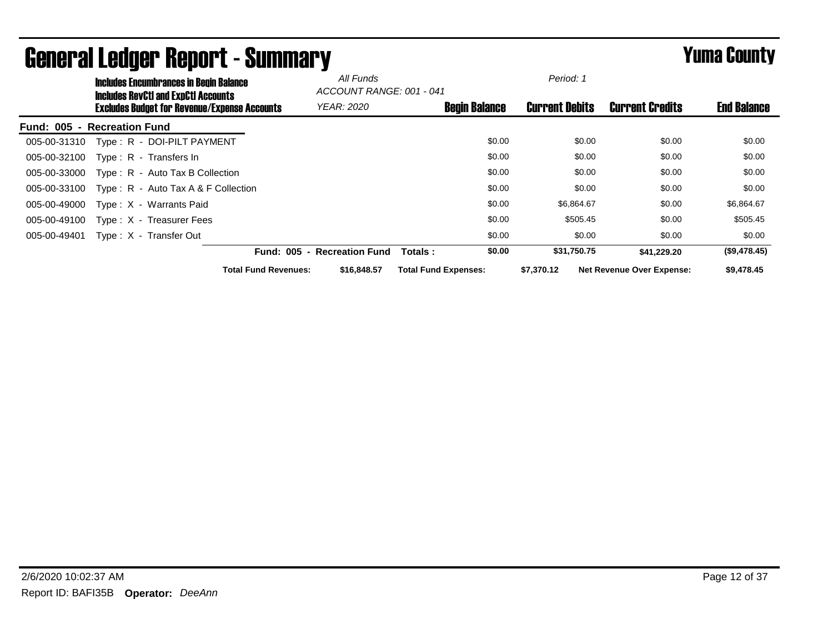|                             | <b>Includes Encumbrances in Begin Balance</b><br><b>Includes RevCtI and ExpCtI Accounts</b> |                                    | All Funds<br>ACCOUNT RANGE: 001 - 041 |                             |                      | Period: 1             |                                  |                    |
|-----------------------------|---------------------------------------------------------------------------------------------|------------------------------------|---------------------------------------|-----------------------------|----------------------|-----------------------|----------------------------------|--------------------|
|                             | <b>Excludes Budget for Revenue/Expense Accounts</b>                                         |                                    | <b>YEAR: 2020</b>                     |                             | <b>Begin Balance</b> | <b>Current Debits</b> | <b>Current Credits</b>           | <b>End Balance</b> |
| Fund: 005 - Recreation Fund |                                                                                             |                                    |                                       |                             |                      |                       |                                  |                    |
| 005-00-31310                | Type: R - DOI-PILT PAYMENT                                                                  |                                    |                                       |                             | \$0.00               | \$0.00                | \$0.00                           | \$0.00             |
| 005-00-32100                | Type: $R -$ Transfers In                                                                    |                                    |                                       |                             | \$0.00               | \$0.00                | \$0.00                           | \$0.00             |
| 005-00-33000                | Type: R - Auto Tax B Collection                                                             |                                    |                                       |                             | \$0.00               | \$0.00                | \$0.00                           | \$0.00             |
| 005-00-33100                | Type: $R -$ Auto Tax A & F Collection                                                       |                                    |                                       |                             | \$0.00               | \$0.00                | \$0.00                           | \$0.00             |
| 005-00-49000                | Type: X - Warrants Paid                                                                     |                                    |                                       |                             | \$0.00               | \$6,864.67            | \$0.00                           | \$6,864.67         |
| 005-00-49100                | Type: X - Treasurer Fees                                                                    |                                    |                                       |                             | \$0.00               | \$505.45              | \$0.00                           | \$505.45           |
| 005-00-49401                | Type: X - Transfer Out                                                                      |                                    |                                       |                             | \$0.00               | \$0.00                | \$0.00                           | \$0.00             |
|                             |                                                                                             | <b>Fund: 005</b><br>$\blacksquare$ | <b>Recreation Fund</b>                | Totals:                     | \$0.00               | \$31,750.75           | \$41,229.20                      | (\$9,478.45)       |
|                             |                                                                                             | <b>Total Fund Revenues:</b>        | \$16,848,57                           | <b>Total Fund Expenses:</b> |                      | \$7,370.12            | <b>Net Revenue Over Expense:</b> | \$9,478.45         |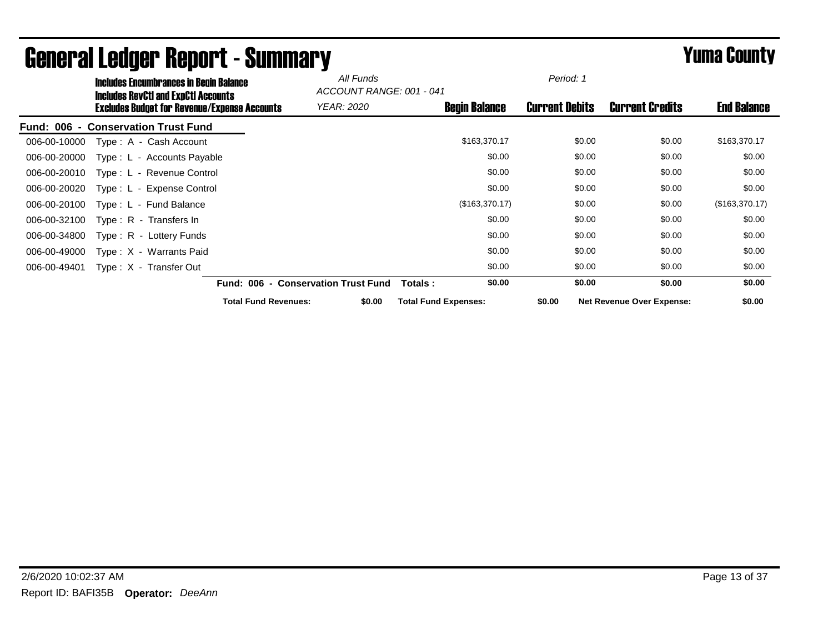|                                            | <b>Includes Encumbrances in Begin Balance</b><br><b>Includes RevCtI and ExpCtI Accounts</b> |                                     | All Funds | ACCOUNT RANGE: 001 - 041    | Period: 1             |                                  |                    |
|--------------------------------------------|---------------------------------------------------------------------------------------------|-------------------------------------|-----------|-----------------------------|-----------------------|----------------------------------|--------------------|
|                                            | <b>Excludes Budget for Revenue/Expense Accounts</b>                                         | <b>YEAR: 2020</b>                   |           | <b>Begin Balance</b>        | <b>Current Debits</b> | <b>Current Credits</b>           | <b>End Balance</b> |
| <b>Fund: 006 - Conservation Trust Fund</b> |                                                                                             |                                     |           |                             |                       |                                  |                    |
| 006-00-10000                               | Type: A - Cash Account                                                                      |                                     |           | \$163,370.17                | \$0.00                | \$0.00                           | \$163,370.17       |
| 006-00-20000                               | Type: L - Accounts Payable                                                                  |                                     |           | \$0.00                      | \$0.00                | \$0.00                           | \$0.00             |
| 006-00-20010                               | Type: L - Revenue Control                                                                   |                                     |           | \$0.00                      | \$0.00                | \$0.00                           | \$0.00             |
| 006-00-20020                               | Type: L - Expense Control                                                                   |                                     |           | \$0.00                      | \$0.00                | \$0.00                           | \$0.00             |
| 006-00-20100                               | Type: L - Fund Balance                                                                      |                                     |           | (\$163,370.17)              | \$0.00                | \$0.00                           | (\$163,370.17)     |
| 006-00-32100<br>Type: R - Transfers In     |                                                                                             |                                     |           | \$0.00                      | \$0.00                | \$0.00                           | \$0.00             |
| 006-00-34800                               | Type: R - Lottery Funds                                                                     |                                     |           | \$0.00                      | \$0.00                | \$0.00                           | \$0.00             |
| 006-00-49000                               | Type: X - Warrants Paid                                                                     |                                     |           | \$0.00                      | \$0.00                | \$0.00                           | \$0.00             |
| Type: X - Transfer Out<br>006-00-49401     |                                                                                             |                                     |           | \$0.00                      | \$0.00                | \$0.00                           | \$0.00             |
|                                            |                                                                                             | Fund: 006 - Conservation Trust Fund |           | \$0.00<br>Totals:           | \$0.00                | \$0.00                           | \$0.00             |
|                                            |                                                                                             | <b>Total Fund Revenues:</b>         | \$0.00    | <b>Total Fund Expenses:</b> | \$0.00                | <b>Net Revenue Over Expense:</b> | \$0.00             |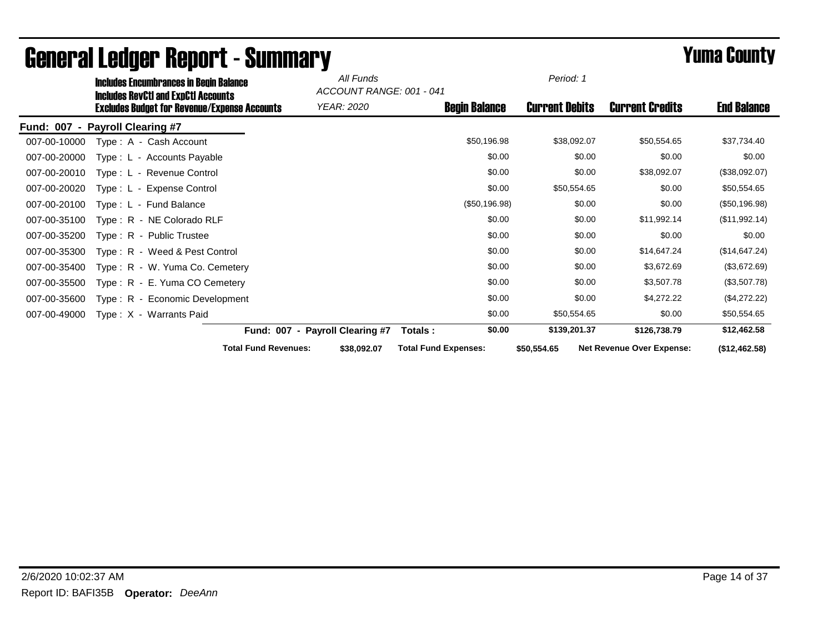|                                    | <b>Includes Encumbrances in Begin Balance</b><br><b>Includes RevCtI and ExpCtI Accounts</b> |                                 | All Funds<br>ACCOUNT RANGE: 001 - 041 |                             |                       | Period: 1                        |                    |
|------------------------------------|---------------------------------------------------------------------------------------------|---------------------------------|---------------------------------------|-----------------------------|-----------------------|----------------------------------|--------------------|
|                                    | <b>Excludes Budget for Revenue/Expense Accounts</b>                                         |                                 | YEAR: 2020                            | <b>Begin Balance</b>        | <b>Current Debits</b> | <b>Current Credits</b>           | <b>End Balance</b> |
| <b>Fund: 007</b><br>$\blacksquare$ | <b>Payroll Clearing #7</b>                                                                  |                                 |                                       |                             |                       |                                  |                    |
| 007-00-10000                       | Type: A - Cash Account                                                                      |                                 |                                       | \$50,196.98                 | \$38,092.07           | \$50,554.65                      | \$37,734.40        |
| 007-00-20000                       | Type: L - Accounts Payable                                                                  |                                 |                                       | \$0.00                      | \$0.00                | \$0.00                           | \$0.00             |
| 007-00-20010                       | Type: L - Revenue Control                                                                   |                                 |                                       | \$0.00                      | \$0.00                | \$38,092.07                      | (\$38,092.07)      |
| 007-00-20020                       | Type: L - Expense Control                                                                   |                                 |                                       | \$0.00                      | \$50,554.65           | \$0.00                           | \$50,554.65        |
| 007-00-20100                       | Type: L - Fund Balance                                                                      |                                 |                                       | (\$50,196.98)               | \$0.00                | \$0.00                           | (\$50,196.98)      |
| 007-00-35100                       | Type: R - NE Colorado RLF                                                                   |                                 |                                       | \$0.00                      | \$0.00                | \$11,992.14                      | (\$11,992.14)      |
| 007-00-35200                       | Type: R - Public Trustee                                                                    |                                 |                                       | \$0.00                      | \$0.00                | \$0.00                           | \$0.00             |
| 007-00-35300                       | Type: R - Weed & Pest Control                                                               |                                 |                                       | \$0.00                      | \$0.00                | \$14,647.24                      | (\$14,647.24)      |
| 007-00-35400                       | Type: R - W. Yuma Co. Cemetery                                                              |                                 |                                       | \$0.00                      | \$0.00                | \$3,672.69                       | (\$3,672.69)       |
| 007-00-35500                       | Type: R - E. Yuma CO Cemetery                                                               |                                 |                                       | \$0.00                      | \$0.00                | \$3,507.78                       | (\$3,507.78)       |
| 007-00-35600                       | Type: R - Economic Development                                                              |                                 |                                       | \$0.00                      | \$0.00                | \$4,272.22                       | (\$4,272.22)       |
| 007-00-49000                       | Type: X - Warrants Paid                                                                     |                                 |                                       | \$0.00                      | \$50,554.65           | \$0.00                           | \$50,554.65        |
|                                    |                                                                                             | Fund: 007 - Payroll Clearing #7 |                                       | \$0.00<br>Totals:           | \$139,201.37          | \$126,738.79                     | \$12,462.58        |
|                                    |                                                                                             | <b>Total Fund Revenues:</b>     | \$38,092.07                           | <b>Total Fund Expenses:</b> | \$50,554.65           | <b>Net Revenue Over Expense:</b> | (\$12,462.58)      |

# General Ledger Report - Summary **Summary Summary** *Yuma County*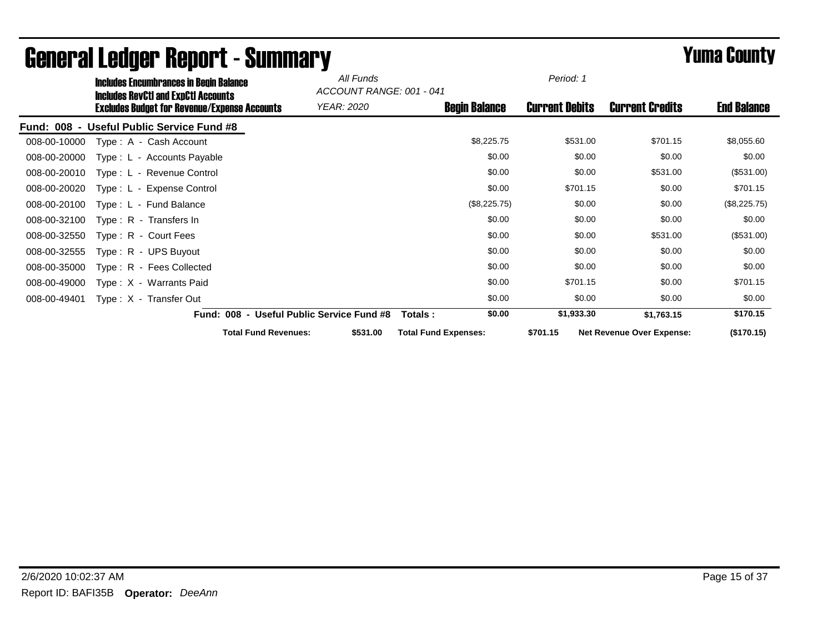|              | <b>Includes Encumbrances in Begin Balance</b>                                              |                                           | All Funds | ACCOUNT RANGE: 001 - 041    | Period: 1             |                                  |                    |
|--------------|--------------------------------------------------------------------------------------------|-------------------------------------------|-----------|-----------------------------|-----------------------|----------------------------------|--------------------|
|              | Includes RevCtI and ExpCtI Accounts<br><b>Excludes Budget for Revenue/Expense Accounts</b> | YEAR: 2020                                |           | <b>Begin Balance</b>        | <b>Current Debits</b> | <b>Current Credits</b>           | <b>End Balance</b> |
|              | Fund: 008 - Useful Public Service Fund #8                                                  |                                           |           |                             |                       |                                  |                    |
| 008-00-10000 | Type: A - Cash Account                                                                     |                                           |           | \$8,225.75                  | \$531.00              | \$701.15                         | \$8,055.60         |
| 008-00-20000 | Type: L - Accounts Payable                                                                 |                                           |           | \$0.00                      | \$0.00                | \$0.00                           | \$0.00             |
| 008-00-20010 | Type: L - Revenue Control                                                                  |                                           |           | \$0.00                      | \$0.00                | \$531.00                         | (\$531.00)         |
| 008-00-20020 | Type: L - Expense Control                                                                  |                                           |           | \$0.00                      | \$701.15              | \$0.00                           | \$701.15           |
| 008-00-20100 | Type: L - Fund Balance                                                                     |                                           |           | (\$8,225.75)                | \$0.00                | \$0.00                           | (\$8,225.75)       |
| 008-00-32100 | Type: R - Transfers In                                                                     |                                           |           | \$0.00                      | \$0.00                | \$0.00                           | \$0.00             |
| 008-00-32550 | Type: R - Court Fees                                                                       |                                           |           | \$0.00                      | \$0.00                | \$531.00                         | (\$531.00)         |
| 008-00-32555 | Type: R - UPS Buyout                                                                       |                                           |           | \$0.00                      | \$0.00                | \$0.00                           | \$0.00             |
| 008-00-35000 | Type: R - Fees Collected                                                                   |                                           |           | \$0.00                      | \$0.00                | \$0.00                           | \$0.00             |
| 008-00-49000 | Type: X - Warrants Paid                                                                    |                                           |           | \$0.00                      | \$701.15              | \$0.00                           | \$701.15           |
| 008-00-49401 | Type: X - Transfer Out                                                                     |                                           |           | \$0.00                      | \$0.00                | \$0.00                           | \$0.00             |
|              |                                                                                            | Fund: 008 - Useful Public Service Fund #8 |           | \$0.00<br>Totals :          | \$1,933.30            | \$1,763.15                       | \$170.15           |
|              |                                                                                            | <b>Total Fund Revenues:</b>               | \$531.00  | <b>Total Fund Expenses:</b> | \$701.15              | <b>Net Revenue Over Expense:</b> | (\$170.15)         |

# General Ledger Report - Summary **Example 2008** Summary **Prime County**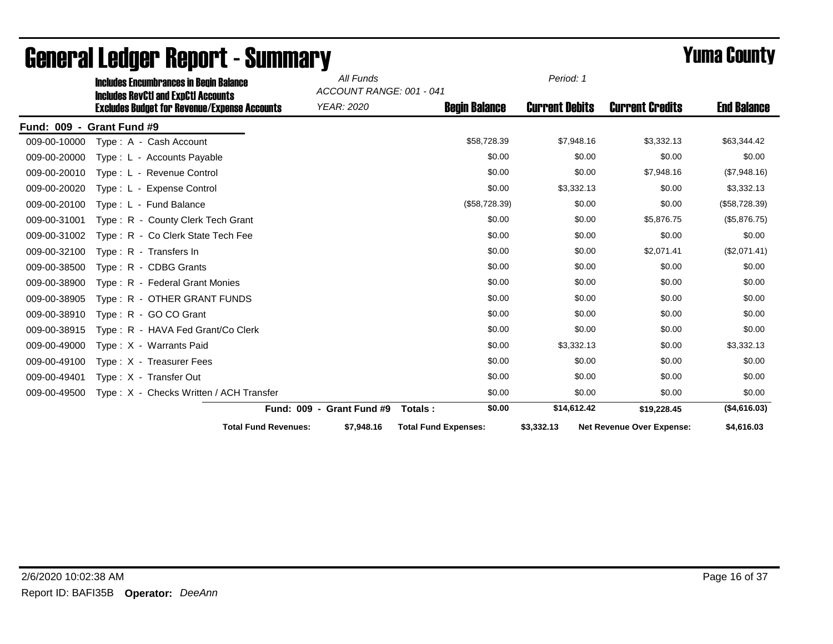|                                    |                      | <b>Includes Encumbrances in Begin Balance</b>                                                     | All Funds                                     |                             | Period: 1             |                                  |                    |
|------------------------------------|----------------------|---------------------------------------------------------------------------------------------------|-----------------------------------------------|-----------------------------|-----------------------|----------------------------------|--------------------|
|                                    |                      | <b>Includes RevCtI and ExpCtI Accounts</b><br><b>Excludes Budget for Revenue/Expense Accounts</b> | ACCOUNT RANGE: 001 - 041<br><b>YEAR: 2020</b> | <b>Begin Balance</b>        | <b>Current Debits</b> | <b>Current Credits</b>           | <b>End Balance</b> |
| <b>Fund: 009</b><br>$\blacksquare$ | <b>Grant Fund #9</b> |                                                                                                   |                                               |                             |                       |                                  |                    |
| 009-00-10000                       |                      | Type: A - Cash Account                                                                            |                                               | \$58,728.39                 | \$7,948.16            | \$3,332.13                       | \$63,344.42        |
| 009-00-20000                       |                      | Type: L - Accounts Payable                                                                        |                                               | \$0.00                      | \$0.00                | \$0.00                           | \$0.00             |
| 009-00-20010                       |                      | Type: L - Revenue Control                                                                         |                                               | \$0.00                      | \$0.00                | \$7,948.16                       | (\$7,948.16)       |
| 009-00-20020                       |                      | Type: L - Expense Control                                                                         |                                               | \$0.00                      | \$3,332.13            | \$0.00                           | \$3,332.13         |
| 009-00-20100                       |                      | Type: L - Fund Balance                                                                            |                                               | (\$58,728.39)               | \$0.00                | \$0.00                           | (\$58,728.39)      |
| 009-00-31001                       |                      | Type: R - County Clerk Tech Grant                                                                 |                                               | \$0.00                      | \$0.00                | \$5,876.75                       | (\$5,876.75)       |
| 009-00-31002                       |                      | Type: R - Co Clerk State Tech Fee                                                                 |                                               | \$0.00                      | \$0.00                | \$0.00                           | \$0.00             |
| 009-00-32100                       |                      | Type: R - Transfers In                                                                            |                                               | \$0.00                      | \$0.00                | \$2,071.41                       | (\$2,071.41)       |
| 009-00-38500                       |                      | Type: R - CDBG Grants                                                                             |                                               | \$0.00                      | \$0.00                | \$0.00                           | \$0.00             |
| 009-00-38900                       |                      | Type: R - Federal Grant Monies                                                                    |                                               | \$0.00                      | \$0.00                | \$0.00                           | \$0.00             |
| 009-00-38905                       |                      | Type: R - OTHER GRANT FUNDS                                                                       |                                               | \$0.00                      | \$0.00                | \$0.00                           | \$0.00             |
| 009-00-38910                       |                      | Type: R - GO CO Grant                                                                             |                                               | \$0.00                      | \$0.00                | \$0.00                           | \$0.00             |
| 009-00-38915                       |                      | Type: R - HAVA Fed Grant/Co Clerk                                                                 |                                               | \$0.00                      | \$0.00                | \$0.00                           | \$0.00             |
| 009-00-49000                       |                      | Type: X - Warrants Paid                                                                           |                                               | \$0.00                      | \$3,332.13            | \$0.00                           | \$3,332.13         |
| 009-00-49100                       |                      | Type: X - Treasurer Fees                                                                          |                                               | \$0.00                      | \$0.00                | \$0.00                           | \$0.00             |
| 009-00-49401                       |                      | Type: X - Transfer Out                                                                            |                                               | \$0.00                      | \$0.00                | \$0.00                           | \$0.00             |
| 009-00-49500                       |                      | Type: X - Checks Written / ACH Transfer                                                           |                                               | \$0.00                      | \$0.00                | \$0.00                           | \$0.00             |
|                                    |                      |                                                                                                   | Fund: 009 - Grant Fund #9                     | \$0.00<br>Totals:           | \$14,612.42           | \$19,228.45                      | (\$4,616.03)       |
|                                    |                      | <b>Total Fund Revenues:</b>                                                                       | \$7,948.16                                    | <b>Total Fund Expenses:</b> | \$3,332.13            | <b>Net Revenue Over Expense:</b> | \$4,616.03         |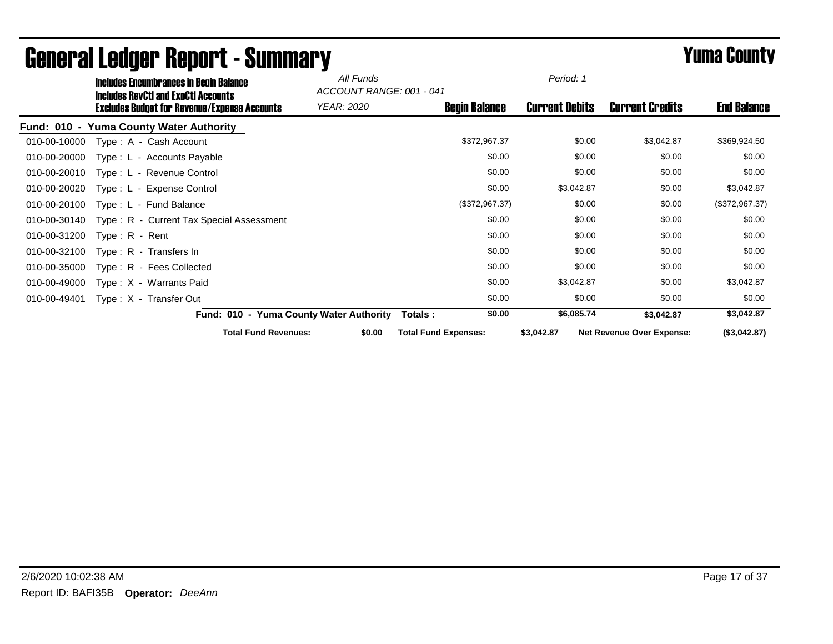|              | <b>Includes Encumbrances in Begin Balance</b>                                                     | All Funds<br>ACCOUNT RANGE: 001 - 041   |                             | Period: 1             |                                  |                    |
|--------------|---------------------------------------------------------------------------------------------------|-----------------------------------------|-----------------------------|-----------------------|----------------------------------|--------------------|
|              | <b>Includes RevCtI and ExpCtI Accounts</b><br><b>Excludes Budget for Revenue/Expense Accounts</b> | YEAR: 2020                              | <b>Begin Balance</b>        | <b>Current Debits</b> | <b>Current Credits</b>           | <b>End Balance</b> |
|              | Fund: 010 - Yuma County Water Authority                                                           |                                         |                             |                       |                                  |                    |
| 010-00-10000 | Type: A - Cash Account                                                                            |                                         | \$372,967.37                | \$0.00                | \$3,042.87                       | \$369,924.50       |
| 010-00-20000 | Type: L - Accounts Payable                                                                        |                                         | \$0.00                      | \$0.00                | \$0.00                           | \$0.00             |
| 010-00-20010 | Type: L - Revenue Control                                                                         |                                         | \$0.00                      | \$0.00                | \$0.00                           | \$0.00             |
| 010-00-20020 | Type: L - Expense Control                                                                         |                                         | \$0.00                      | \$3,042.87            | \$0.00                           | \$3,042.87         |
| 010-00-20100 | Type: L - Fund Balance                                                                            |                                         | (\$372,967.37)              | \$0.00                | \$0.00                           | (\$372,967.37)     |
| 010-00-30140 | Type: R - Current Tax Special Assessment                                                          |                                         | \$0.00                      | \$0.00                | \$0.00                           | \$0.00             |
| 010-00-31200 | $Type: R - Rent$                                                                                  |                                         | \$0.00                      | \$0.00                | \$0.00                           | \$0.00             |
| 010-00-32100 | Type: R - Transfers In                                                                            |                                         | \$0.00                      | \$0.00                | \$0.00                           | \$0.00             |
| 010-00-35000 | Type: R - Fees Collected                                                                          |                                         | \$0.00                      | \$0.00                | \$0.00                           | \$0.00             |
| 010-00-49000 | Type: X - Warrants Paid                                                                           |                                         | \$0.00                      | \$3,042.87            | \$0.00                           | \$3,042.87         |
| 010-00-49401 | Type: X - Transfer Out                                                                            |                                         | \$0.00                      | \$0.00                | \$0.00                           | \$0.00             |
|              |                                                                                                   | Fund: 010 - Yuma County Water Authority | \$0.00<br>Totals :          | \$6,085.74            | \$3,042.87                       | \$3,042.87         |
|              | <b>Total Fund Revenues:</b>                                                                       | \$0.00                                  | <b>Total Fund Expenses:</b> | \$3,042.87            | <b>Net Revenue Over Expense:</b> | (\$3,042.87)       |

# General Ledger Report - Summary **Example 2008** Summary **Prime County**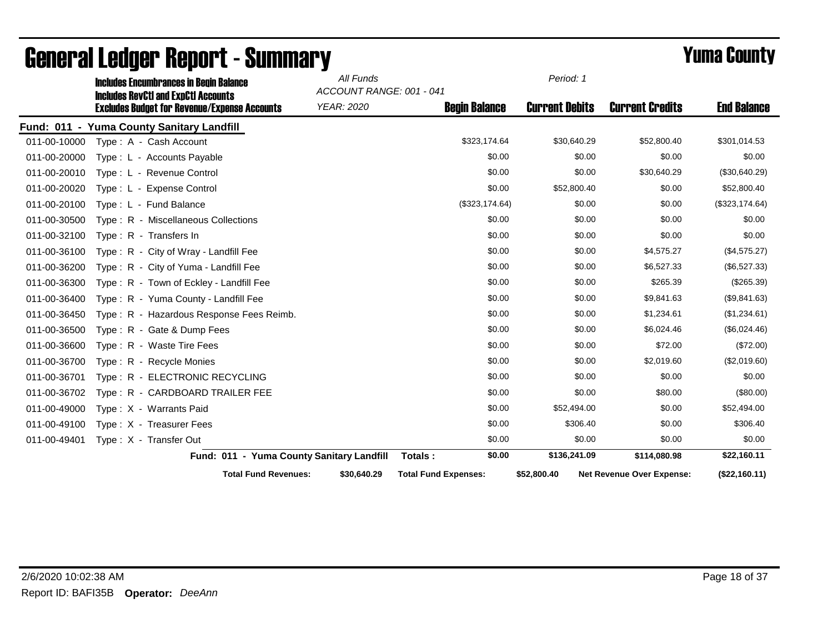|              | <b>Includes Encumbrances in Begin Balance</b>                                                     |                                           | All Funds<br>ACCOUNT RANGE: 001 - 041 |                             | Period: 1             |                                  |                    |
|--------------|---------------------------------------------------------------------------------------------------|-------------------------------------------|---------------------------------------|-----------------------------|-----------------------|----------------------------------|--------------------|
|              | <b>Includes RevCtI and ExpCtI Accounts</b><br><b>Excludes Budget for Revenue/Expense Accounts</b> |                                           | YEAR: 2020                            | <b>Begin Balance</b>        | <b>Current Debits</b> | <b>Current Credits</b>           | <b>End Balance</b> |
|              | Fund: 011 - Yuma County Sanitary Landfill                                                         |                                           |                                       |                             |                       |                                  |                    |
| 011-00-10000 | Type: A - Cash Account                                                                            |                                           |                                       | \$323,174.64                | \$30,640.29           | \$52,800.40                      | \$301,014.53       |
| 011-00-20000 | Type: L - Accounts Payable                                                                        |                                           |                                       | \$0.00                      | \$0.00                | \$0.00                           | \$0.00             |
| 011-00-20010 | Type: L - Revenue Control                                                                         |                                           |                                       | \$0.00                      | \$0.00                | \$30,640.29                      | (\$30,640.29)      |
| 011-00-20020 | Type: L - Expense Control                                                                         |                                           |                                       | \$0.00                      | \$52,800.40           | \$0.00                           | \$52,800.40        |
| 011-00-20100 | Type: L - Fund Balance                                                                            |                                           |                                       | (\$323, 174.64)             | \$0.00                | \$0.00                           | (\$323, 174.64)    |
| 011-00-30500 | Type: R - Miscellaneous Collections                                                               |                                           |                                       | \$0.00                      | \$0.00                | \$0.00                           | \$0.00             |
| 011-00-32100 | Type: R - Transfers In                                                                            |                                           |                                       | \$0.00                      | \$0.00                | \$0.00                           | \$0.00             |
| 011-00-36100 | Type: R - City of Wray - Landfill Fee                                                             |                                           |                                       | \$0.00                      | \$0.00                | \$4,575.27                       | (\$4,575.27)       |
| 011-00-36200 | Type: R - City of Yuma - Landfill Fee                                                             |                                           |                                       | \$0.00                      | \$0.00                | \$6,527.33                       | (\$6,527.33)       |
| 011-00-36300 | Type: R - Town of Eckley - Landfill Fee                                                           |                                           |                                       | \$0.00                      | \$0.00                | \$265.39                         | $(\$265.39)$       |
| 011-00-36400 | Type: R - Yuma County - Landfill Fee                                                              |                                           |                                       | \$0.00                      | \$0.00                | \$9,841.63                       | (\$9,841.63)       |
| 011-00-36450 | Type: R - Hazardous Response Fees Reimb.                                                          |                                           |                                       | \$0.00                      | \$0.00                | \$1,234.61                       | (\$1,234.61)       |
| 011-00-36500 | Type: R - Gate & Dump Fees                                                                        |                                           |                                       | \$0.00                      | \$0.00                | \$6,024.46                       | (\$6,024.46)       |
| 011-00-36600 | Type: R - Waste Tire Fees                                                                         |                                           |                                       | \$0.00                      | \$0.00                | \$72.00                          | (\$72.00)          |
| 011-00-36700 | Type: R - Recycle Monies                                                                          |                                           |                                       | \$0.00                      | \$0.00                | \$2,019.60                       | (\$2,019.60)       |
| 011-00-36701 | Type: R - ELECTRONIC RECYCLING                                                                    |                                           |                                       | \$0.00                      | \$0.00                | \$0.00                           | \$0.00             |
| 011-00-36702 | Type: R - CARDBOARD TRAILER FEE                                                                   |                                           |                                       | \$0.00                      | \$0.00                | \$80.00                          | (\$80.00)          |
| 011-00-49000 | Type: X - Warrants Paid                                                                           |                                           |                                       | \$0.00                      | \$52,494.00           | \$0.00                           | \$52,494.00        |
| 011-00-49100 | Type: X - Treasurer Fees                                                                          |                                           |                                       | \$0.00                      | \$306.40              | \$0.00                           | \$306.40           |
| 011-00-49401 | Type: X - Transfer Out                                                                            |                                           |                                       | \$0.00                      | \$0.00                | \$0.00                           | \$0.00             |
|              |                                                                                                   | Fund: 011 - Yuma County Sanitary Landfill |                                       | \$0.00<br>Totals:           | \$136,241.09          | \$114,080.98                     | \$22,160.11        |
|              |                                                                                                   | <b>Total Fund Revenues:</b>               | \$30,640.29                           | <b>Total Fund Expenses:</b> | \$52,800.40           | <b>Net Revenue Over Expense:</b> | (\$22,160.11)      |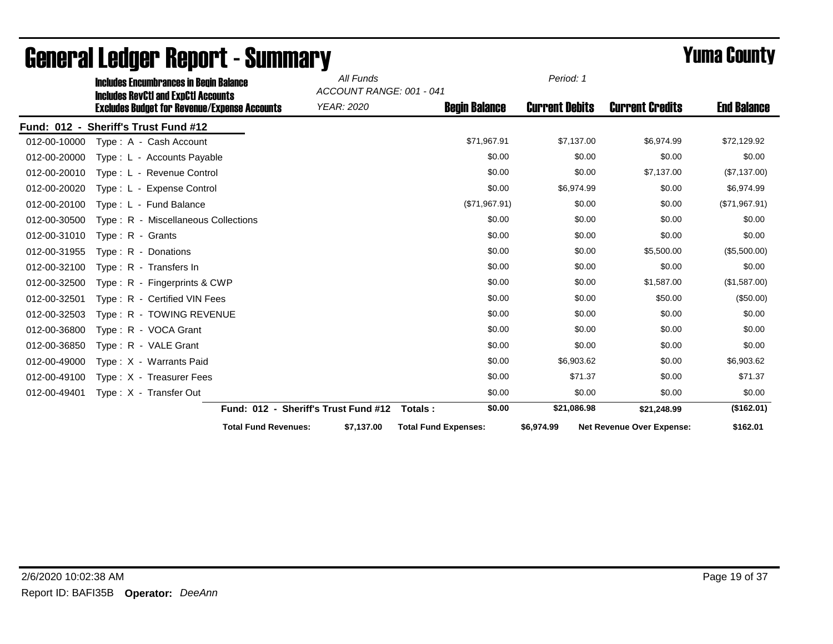|                    | <b>Includes Encumbrances in Begin Balance</b>                                                     |                                      | All Funds                                     |                             | Period: 1             |                                  |                    |
|--------------------|---------------------------------------------------------------------------------------------------|--------------------------------------|-----------------------------------------------|-----------------------------|-----------------------|----------------------------------|--------------------|
|                    | <b>Includes RevCtI and ExpCtI Accounts</b><br><b>Excludes Budget for Revenue/Expense Accounts</b> |                                      | ACCOUNT RANGE: 001 - 041<br><b>YEAR: 2020</b> | <b>Begin Balance</b>        | <b>Current Debits</b> | <b>Current Credits</b>           | <b>End Balance</b> |
| <b>Fund: 012 -</b> | <b>Sheriff's Trust Fund #12</b>                                                                   |                                      |                                               |                             |                       |                                  |                    |
| 012-00-10000       | Type: A - Cash Account                                                                            |                                      |                                               | \$71,967.91                 | \$7,137.00            | \$6,974.99                       | \$72,129.92        |
| 012-00-20000       | Type: L - Accounts Payable                                                                        |                                      |                                               | \$0.00                      | \$0.00                | \$0.00                           | \$0.00             |
| 012-00-20010       | Type: L - Revenue Control                                                                         |                                      |                                               | \$0.00                      | \$0.00                | \$7,137.00                       | (\$7,137.00)       |
| 012-00-20020       | Type: L - Expense Control                                                                         |                                      |                                               | \$0.00                      | \$6,974.99            | \$0.00                           | \$6,974.99         |
| 012-00-20100       | Type: L - Fund Balance                                                                            |                                      |                                               | (\$71,967.91)               | \$0.00                | \$0.00                           | (\$71,967.91)      |
| 012-00-30500       | Type: R - Miscellaneous Collections                                                               |                                      |                                               | \$0.00                      | \$0.00                | \$0.00                           | \$0.00             |
| 012-00-31010       | Type: $R -$ Grants                                                                                |                                      |                                               | \$0.00                      | \$0.00                | \$0.00                           | \$0.00             |
| 012-00-31955       | Type: R - Donations                                                                               |                                      |                                               | \$0.00                      | \$0.00                | \$5,500.00                       | (\$5,500.00)       |
| 012-00-32100       | Type: R - Transfers In                                                                            |                                      |                                               | \$0.00                      | \$0.00                | \$0.00                           | \$0.00             |
| 012-00-32500       | Type: R - Fingerprints & CWP                                                                      |                                      |                                               | \$0.00                      | \$0.00                | \$1,587.00                       | (\$1,587.00)       |
| 012-00-32501       | Type: R - Certified VIN Fees                                                                      |                                      |                                               | \$0.00                      | \$0.00                | \$50.00                          | (\$50.00)          |
| 012-00-32503       | Type: R - TOWING REVENUE                                                                          |                                      |                                               | \$0.00                      | \$0.00                | \$0.00                           | \$0.00             |
| 012-00-36800       | Type: R - VOCA Grant                                                                              |                                      |                                               | \$0.00                      | \$0.00                | \$0.00                           | \$0.00             |
| 012-00-36850       | Type: R - VALE Grant                                                                              |                                      |                                               | \$0.00                      | \$0.00                | \$0.00                           | \$0.00             |
| 012-00-49000       | Type: X - Warrants Paid                                                                           |                                      |                                               | \$0.00                      | \$6,903.62            | \$0.00                           | \$6,903.62         |
| 012-00-49100       | Type: X - Treasurer Fees                                                                          |                                      |                                               | \$0.00                      | \$71.37               | \$0.00                           | \$71.37            |
| 012-00-49401       | Type: X - Transfer Out                                                                            |                                      |                                               | \$0.00                      | \$0.00                | \$0.00                           | \$0.00             |
|                    |                                                                                                   | Fund: 012 - Sheriff's Trust Fund #12 |                                               | \$0.00<br>Totals:           | \$21,086.98           | \$21,248.99                      | (\$162.01)         |
|                    |                                                                                                   | <b>Total Fund Revenues:</b>          | \$7,137.00                                    | <b>Total Fund Expenses:</b> | \$6,974.99            | <b>Net Revenue Over Expense:</b> | \$162.01           |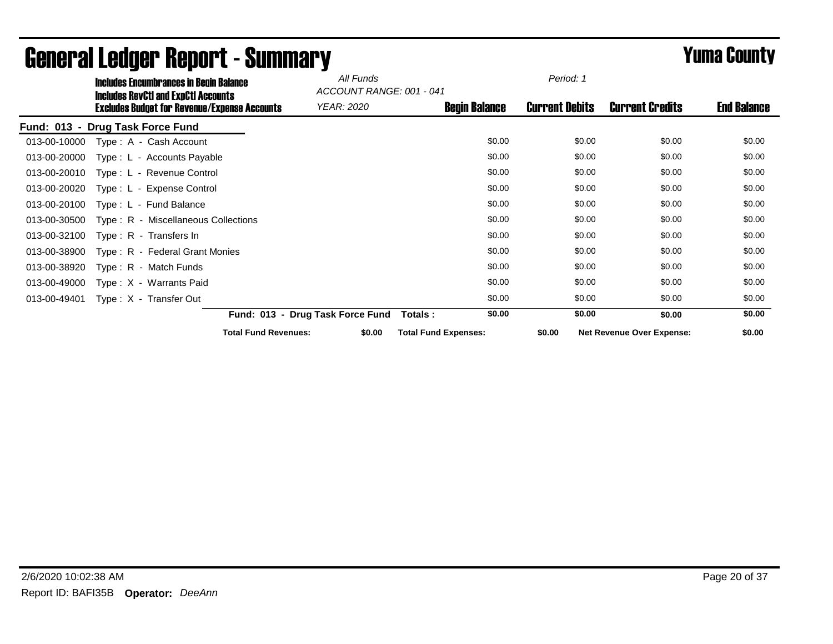|                    | <b>Includes Encumbrances in Begin Balance</b>                                                     | All Funds<br>ACCOUNT RANGE: 001 - 041 |                             | Period: 1             |                                  |                    |  |
|--------------------|---------------------------------------------------------------------------------------------------|---------------------------------------|-----------------------------|-----------------------|----------------------------------|--------------------|--|
|                    | <b>Includes RevCtI and ExpCtI Accounts</b><br><b>Excludes Budget for Revenue/Expense Accounts</b> | YEAR: 2020                            | <b>Begin Balance</b>        | <b>Current Debits</b> | <b>Current Credits</b>           | <b>End Balance</b> |  |
| <b>Fund: 013 -</b> | <b>Drug Task Force Fund</b>                                                                       |                                       |                             |                       |                                  |                    |  |
| 013-00-10000       | Type: A - Cash Account                                                                            |                                       | \$0.00                      | \$0.00                | \$0.00                           | \$0.00             |  |
| 013-00-20000       | Type: L - Accounts Payable                                                                        |                                       | \$0.00                      | \$0.00                | \$0.00                           | \$0.00             |  |
| 013-00-20010       | Type: L - Revenue Control                                                                         |                                       | \$0.00                      | \$0.00                | \$0.00                           | \$0.00             |  |
| 013-00-20020       | Type: L - Expense Control                                                                         |                                       | \$0.00                      | \$0.00                | \$0.00                           | \$0.00             |  |
| 013-00-20100       | Type: L - Fund Balance                                                                            |                                       | \$0.00                      | \$0.00                | \$0.00                           | \$0.00             |  |
| 013-00-30500       | Type: R - Miscellaneous Collections                                                               |                                       | \$0.00                      | \$0.00                | \$0.00                           | \$0.00             |  |
| 013-00-32100       | Type: R - Transfers In                                                                            |                                       | \$0.00                      | \$0.00                | \$0.00                           | \$0.00             |  |
| 013-00-38900       | Type: R - Federal Grant Monies                                                                    |                                       | \$0.00                      | \$0.00                | \$0.00                           | \$0.00             |  |
| 013-00-38920       | Type: R - Match Funds                                                                             |                                       | \$0.00                      | \$0.00                | \$0.00                           | \$0.00             |  |
| 013-00-49000       | Type: X - Warrants Paid                                                                           |                                       | \$0.00                      | \$0.00                | \$0.00                           | \$0.00             |  |
| 013-00-49401       | Type: X - Transfer Out                                                                            |                                       | \$0.00                      | \$0.00                | \$0.00                           | \$0.00             |  |
|                    |                                                                                                   | Fund: 013 - Drug Task Force Fund      | \$0.00<br>Totals :          | \$0.00                | \$0.00                           | \$0.00             |  |
|                    |                                                                                                   | <b>Total Fund Revenues:</b><br>\$0.00 | <b>Total Fund Expenses:</b> | \$0.00                | <b>Net Revenue Over Expense:</b> | \$0.00             |  |

# General Ledger Report - Summary **Summary Summary** *Yuma County*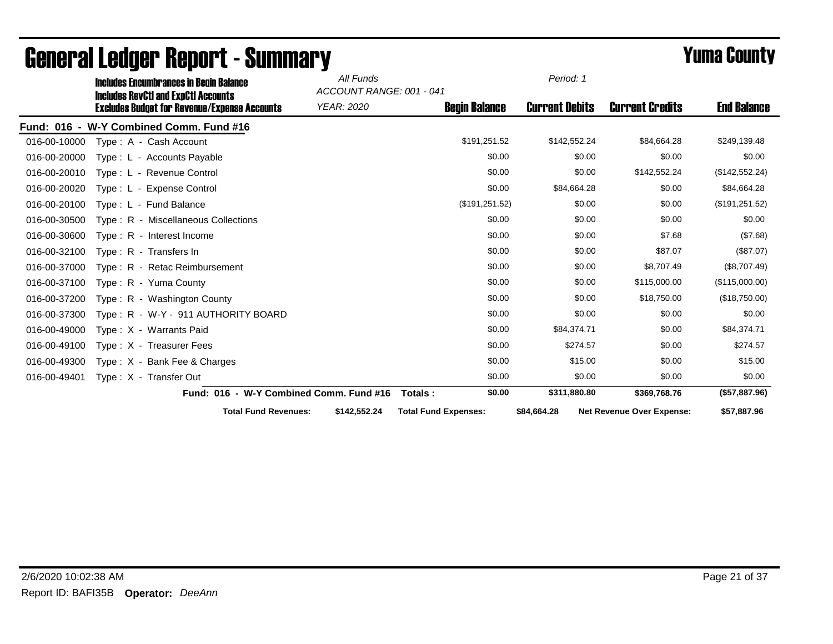|              | <b>Includes Encumbrances in Begin Balance</b>                                                     |                                         | All Funds<br>ACCOUNT RANGE: 001 - 041 |                             | Period: 1             |                                  |                    |
|--------------|---------------------------------------------------------------------------------------------------|-----------------------------------------|---------------------------------------|-----------------------------|-----------------------|----------------------------------|--------------------|
|              | <b>Includes RevCtI and ExpCtI Accounts</b><br><b>Excludes Budget for Revenue/Expense Accounts</b> |                                         | YEAR: 2020                            | <b>Begin Balance</b>        | <b>Current Debits</b> | <b>Current Credits</b>           | <b>End Balance</b> |
|              | Fund: 016 - W-Y Combined Comm. Fund #16                                                           |                                         |                                       |                             |                       |                                  |                    |
| 016-00-10000 | Type: A - Cash Account                                                                            |                                         |                                       | \$191,251.52                | \$142,552.24          | \$84,664.28                      | \$249,139.48       |
| 016-00-20000 | Type: L - Accounts Payable                                                                        |                                         |                                       | \$0.00                      | \$0.00                | \$0.00                           | \$0.00             |
| 016-00-20010 | Type: L - Revenue Control                                                                         |                                         |                                       | \$0.00                      | \$0.00                | \$142,552.24                     | (\$142,552.24)     |
| 016-00-20020 | Type: L - Expense Control                                                                         |                                         |                                       | \$0.00                      | \$84,664.28           | \$0.00                           | \$84,664.28        |
| 016-00-20100 | Type: L - Fund Balance                                                                            |                                         |                                       | (\$191, 251.52)             | \$0.00                | \$0.00                           | (\$191, 251.52)    |
| 016-00-30500 | Type: R - Miscellaneous Collections                                                               |                                         |                                       | \$0.00                      | \$0.00                | \$0.00                           | \$0.00             |
| 016-00-30600 | Type: R - Interest Income                                                                         |                                         |                                       | \$0.00                      | \$0.00                | \$7.68                           | (\$7.68)           |
| 016-00-32100 | Type: R - Transfers In                                                                            |                                         |                                       | \$0.00                      | \$0.00                | \$87.07                          | (\$87.07)          |
| 016-00-37000 | Type: R - Retac Reimbursement                                                                     |                                         |                                       | \$0.00                      | \$0.00                | \$8,707.49                       | (\$8,707.49)       |
| 016-00-37100 | Type: R - Yuma County                                                                             |                                         |                                       | \$0.00                      | \$0.00                | \$115,000.00                     | (\$115,000.00)     |
| 016-00-37200 | Type: R - Washington County                                                                       |                                         |                                       | \$0.00                      | \$0.00                | \$18,750.00                      | (\$18,750.00)      |
| 016-00-37300 | Type: R - W-Y - 911 AUTHORITY BOARD                                                               |                                         |                                       | \$0.00                      | \$0.00                | \$0.00                           | \$0.00             |
| 016-00-49000 | Type: X - Warrants Paid                                                                           |                                         |                                       | \$0.00                      | \$84,374.71           | \$0.00                           | \$84,374.71        |
| 016-00-49100 | Type: X - Treasurer Fees                                                                          |                                         |                                       | \$0.00                      | \$274.57              | \$0.00                           | \$274.57           |
| 016-00-49300 | Type: $X -$ Bank Fee & Charges                                                                    |                                         |                                       | \$0.00                      | \$15.00               | \$0.00                           | \$15.00            |
| 016-00-49401 | Type: X - Transfer Out                                                                            |                                         |                                       | \$0.00                      | \$0.00                | \$0.00                           | \$0.00             |
|              |                                                                                                   | Fund: 016 - W-Y Combined Comm. Fund #16 |                                       | \$0.00<br>Totals:           | \$311,880.80          | \$369,768.76                     | (\$57,887.96)      |
|              |                                                                                                   | <b>Total Fund Revenues:</b>             | \$142,552.24                          | <b>Total Fund Expenses:</b> | \$84,664.28           | <b>Net Revenue Over Expense:</b> | \$57,887.96        |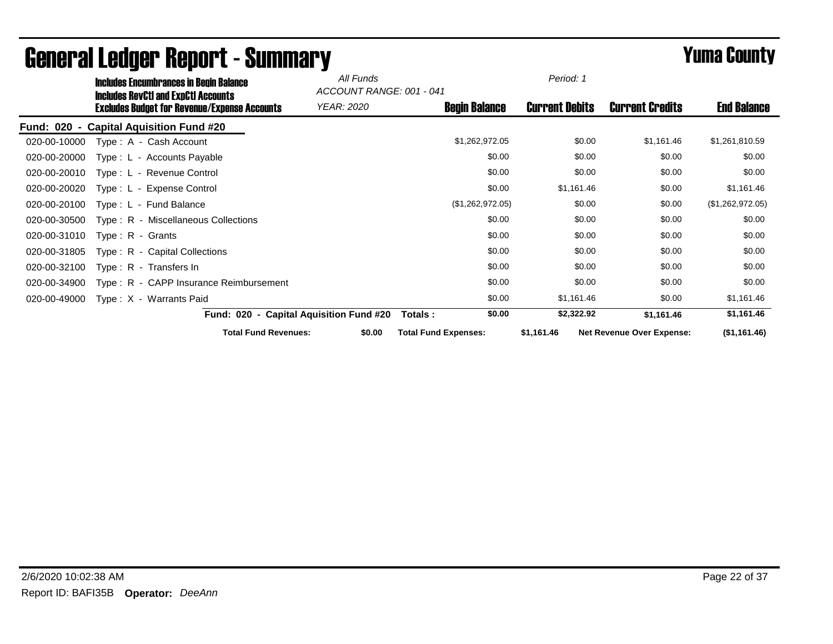|              | <b>Includes Encumbrances in Begin Balance</b><br><b>Includes RevCtI and ExpCtI Accounts</b> |                                         | All Funds  | ACCOUNT RANGE: 001 - 041    | Period: 1             |                                  |                    |
|--------------|---------------------------------------------------------------------------------------------|-----------------------------------------|------------|-----------------------------|-----------------------|----------------------------------|--------------------|
|              | <b>Excludes Budget for Revenue/Expense Accounts</b>                                         |                                         | YEAR: 2020 | <b>Begin Balance</b>        | <b>Current Debits</b> | <b>Current Credits</b>           | <b>End Balance</b> |
|              | Fund: 020 - Capital Aquisition Fund #20                                                     |                                         |            |                             |                       |                                  |                    |
| 020-00-10000 | Type: A - Cash Account                                                                      |                                         |            | \$1,262,972.05              | \$0.00                | \$1,161.46                       | \$1,261,810.59     |
| 020-00-20000 | Type: L - Accounts Payable                                                                  |                                         |            | \$0.00                      | \$0.00                | \$0.00                           | \$0.00             |
| 020-00-20010 | Type: L - Revenue Control                                                                   |                                         |            | \$0.00                      | \$0.00                | \$0.00                           | \$0.00             |
| 020-00-20020 | Type: L - Expense Control                                                                   |                                         |            | \$0.00                      | \$1,161.46            | \$0.00                           | \$1,161.46         |
| 020-00-20100 | Type: L - Fund Balance                                                                      |                                         |            | (\$1,262,972.05)            | \$0.00                | \$0.00                           | (\$1,262,972.05)   |
| 020-00-30500 | Type: R - Miscellaneous Collections                                                         |                                         |            | \$0.00                      | \$0.00                | \$0.00                           | \$0.00             |
| 020-00-31010 | $Type: R - Grants$                                                                          |                                         |            | \$0.00                      | \$0.00                | \$0.00                           | \$0.00             |
| 020-00-31805 | Type: R - Capital Collections                                                               |                                         |            | \$0.00                      | \$0.00                | \$0.00                           | \$0.00             |
| 020-00-32100 | Type: R - Transfers In                                                                      |                                         |            | \$0.00                      | \$0.00                | \$0.00                           | \$0.00             |
| 020-00-34900 | Type: R - CAPP Insurance Reimbursement                                                      |                                         |            | \$0.00                      | \$0.00                | \$0.00                           | \$0.00             |
| 020-00-49000 | Type: X - Warrants Paid                                                                     |                                         |            | \$0.00                      | \$1,161.46            | \$0.00                           | \$1,161.46         |
|              |                                                                                             | Fund: 020 - Capital Aquisition Fund #20 |            | \$0.00<br>Totals :          | \$2,322.92            | \$1,161.46                       | \$1,161.46         |
|              |                                                                                             | <b>Total Fund Revenues:</b>             | \$0.00     | <b>Total Fund Expenses:</b> | \$1,161.46            | <b>Net Revenue Over Expense:</b> | (\$1,161.46)       |

# General Ledger Report - Summary **Example 2008** Summary **Prime County**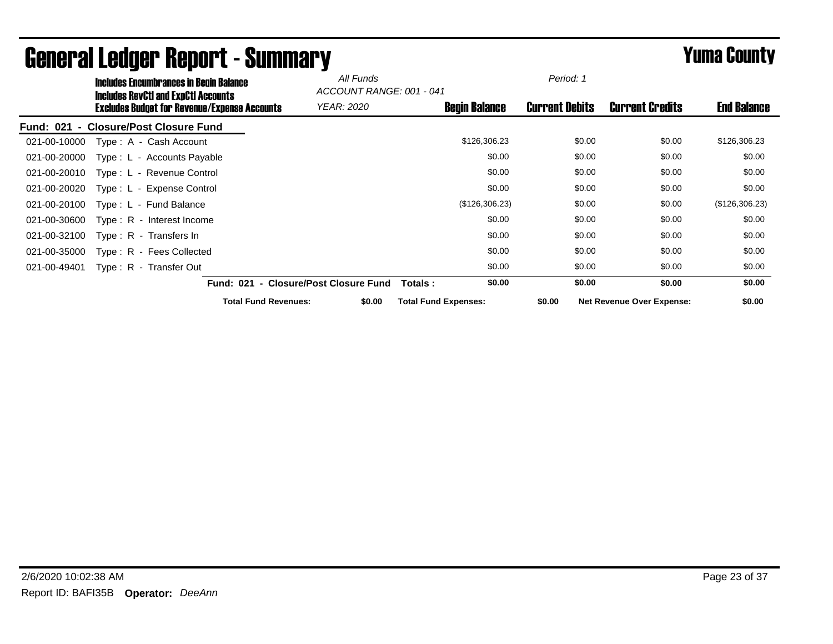| <b>Includes Encumbrances in Begin Balance</b><br><b>Includes RevCtI and ExpCtI Accounts</b> | All Funds<br>ACCOUNT RANGE: 001 - 041 |                             | Period: 1             |                                  |                    |
|---------------------------------------------------------------------------------------------|---------------------------------------|-----------------------------|-----------------------|----------------------------------|--------------------|
| <b>Excludes Budget for Revenue/Expense Accounts</b>                                         | <b>YEAR: 2020</b>                     | <b>Begin Balance</b>        | <b>Current Debits</b> | <b>Current Credits</b>           | <b>End Balance</b> |
| - Closure/Post Closure Fund<br>Fund: 021                                                    |                                       |                             |                       |                                  |                    |
| Type: A - Cash Account<br>021-00-10000                                                      |                                       | \$126,306.23                | \$0.00                | \$0.00                           | \$126,306.23       |
| Type: L - Accounts Payable<br>021-00-20000                                                  |                                       | \$0.00                      | \$0.00                | \$0.00                           | \$0.00             |
| Type: L - Revenue Control<br>021-00-20010                                                   |                                       | \$0.00                      | \$0.00                | \$0.00                           | \$0.00             |
| 021-00-20020<br>Type: L - Expense Control                                                   |                                       | \$0.00                      | \$0.00                | \$0.00                           | \$0.00             |
| 021-00-20100<br>Type: L - Fund Balance                                                      |                                       | (\$126,306.23)              | \$0.00                | \$0.00                           | (\$126,306.23)     |
| 021-00-30600<br>Type: R - Interest Income                                                   |                                       | \$0.00                      | \$0.00                | \$0.00                           | \$0.00             |
| 021-00-32100<br>Type: R - Transfers In                                                      |                                       | \$0.00                      | \$0.00                | \$0.00                           | \$0.00             |
| 021-00-35000<br>Type: R - Fees Collected                                                    |                                       | \$0.00                      | \$0.00                | \$0.00                           | \$0.00             |
| Type: R - Transfer Out<br>021-00-49401                                                      |                                       | \$0.00                      | \$0.00                | \$0.00                           | \$0.00             |
|                                                                                             | Fund: 021 - Closure/Post Closure Fund | \$0.00<br>Totals :          | \$0.00                | \$0.00                           | \$0.00             |
| <b>Total Fund Revenues:</b>                                                                 | \$0.00                                | <b>Total Fund Expenses:</b> | \$0.00                | <b>Net Revenue Over Expense:</b> | \$0.00             |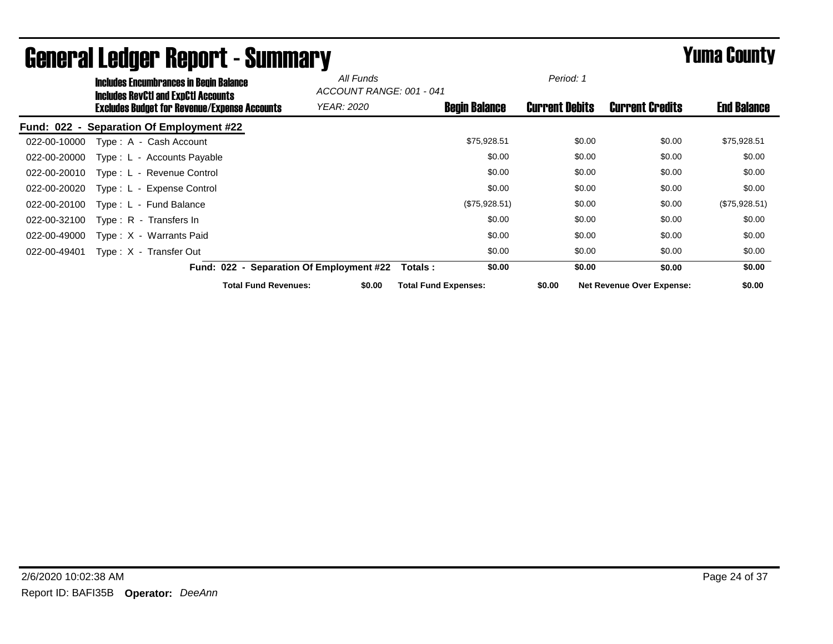|              | <b>Includes Encumbrances in Begin Balance</b><br><b>Includes RevCtI and ExpCtI Accounts</b> |                                          | All Funds<br>ACCOUNT RANGE: 001 - 041 |                             | Period: 1             |                                  |                    |
|--------------|---------------------------------------------------------------------------------------------|------------------------------------------|---------------------------------------|-----------------------------|-----------------------|----------------------------------|--------------------|
|              | <b>Excludes Budget for Revenue/Expense Accounts</b>                                         |                                          | <b>YEAR: 2020</b>                     | <b>Begin Balance</b>        | <b>Current Debits</b> | <b>Current Credits</b>           | <b>End Balance</b> |
|              | Fund: 022 - Separation Of Employment #22                                                    |                                          |                                       |                             |                       |                                  |                    |
| 022-00-10000 | Type: A - Cash Account                                                                      |                                          |                                       | \$75,928.51                 | \$0.00                | \$0.00                           | \$75,928.51        |
| 022-00-20000 | Type: L - Accounts Payable                                                                  |                                          |                                       | \$0.00                      | \$0.00                | \$0.00                           | \$0.00             |
| 022-00-20010 | Type: L - Revenue Control                                                                   |                                          |                                       | \$0.00                      | \$0.00                | \$0.00                           | \$0.00             |
| 022-00-20020 | Type: L - Expense Control                                                                   |                                          |                                       | \$0.00                      | \$0.00                | \$0.00                           | \$0.00             |
| 022-00-20100 | Type: L - Fund Balance                                                                      |                                          |                                       | (\$75,928.51)               | \$0.00                | \$0.00                           | (\$75,928.51)      |
| 022-00-32100 | Type: R - Transfers In                                                                      |                                          |                                       | \$0.00                      | \$0.00                | \$0.00                           | \$0.00             |
| 022-00-49000 | Type: X - Warrants Paid                                                                     |                                          |                                       | \$0.00                      | \$0.00                | \$0.00                           | \$0.00             |
| 022-00-49401 | Type: X - Transfer Out                                                                      |                                          |                                       | \$0.00                      | \$0.00                | \$0.00                           | \$0.00             |
|              |                                                                                             | Fund: 022 - Separation Of Employment #22 |                                       | \$0.00<br>Totals :          | \$0.00                | \$0.00                           | \$0.00             |
|              |                                                                                             | <b>Total Fund Revenues:</b>              | \$0.00                                | <b>Total Fund Expenses:</b> | \$0.00                | <b>Net Revenue Over Expense:</b> | \$0.00             |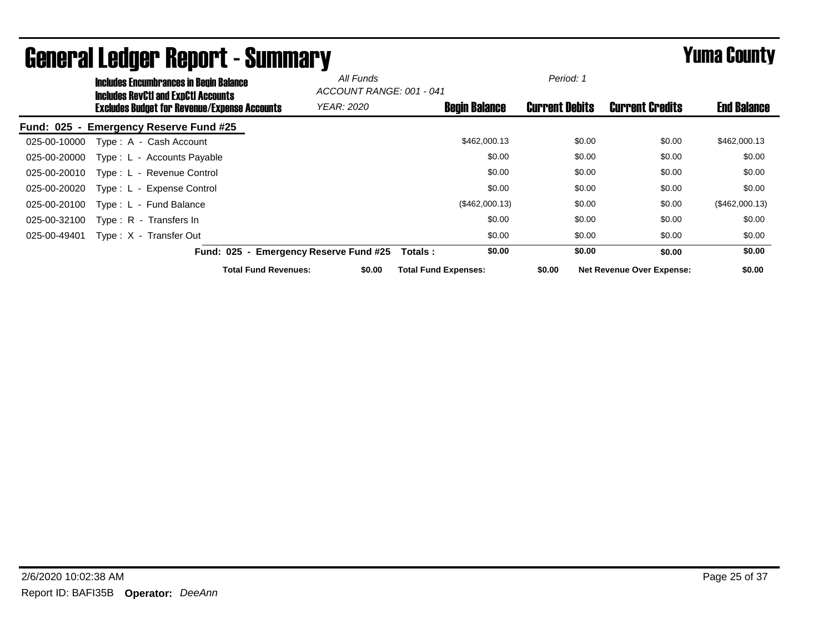|                  | <b>Includes Encumbrances in Begin Balance</b><br><b>Includes RevCtI and ExpCtI Accounts</b> |                                             | All Funds<br>ACCOUNT RANGE: 001 - 041 |                             |                      | Period: 1             |                                  |                    |
|------------------|---------------------------------------------------------------------------------------------|---------------------------------------------|---------------------------------------|-----------------------------|----------------------|-----------------------|----------------------------------|--------------------|
|                  | <b>Excludes Budget for Revenue/Expense Accounts</b>                                         |                                             | <b>YEAR: 2020</b>                     |                             | <b>Begin Balance</b> | <b>Current Debits</b> | <b>Current Credits</b>           | <b>End Balance</b> |
| <b>Fund: 025</b> | <b>Emergency Reserve Fund #25</b>                                                           |                                             |                                       |                             |                      |                       |                                  |                    |
| 025-00-10000     | Type: A - Cash Account                                                                      |                                             |                                       |                             | \$462,000.13         | \$0.00                | \$0.00                           | \$462,000.13       |
| 025-00-20000     | Type: L - Accounts Payable                                                                  |                                             |                                       |                             | \$0.00               | \$0.00                | \$0.00                           | \$0.00             |
| 025-00-20010     | Type: L - Revenue Control                                                                   |                                             |                                       |                             | \$0.00               | \$0.00                | \$0.00                           | \$0.00             |
| 025-00-20020     | Type: L - Expense Control                                                                   |                                             |                                       |                             | \$0.00               | \$0.00                | \$0.00                           | \$0.00             |
| 025-00-20100     | Type: L - Fund Balance                                                                      |                                             |                                       |                             | (\$462,000.13)       | \$0.00                | \$0.00                           | (\$462,000.13)     |
| 025-00-32100     | Type: R - Transfers In                                                                      |                                             |                                       |                             | \$0.00               | \$0.00                | \$0.00                           | \$0.00             |
| 025-00-49401     | Type: X - Transfer Out                                                                      |                                             |                                       |                             | \$0.00               | \$0.00                | \$0.00                           | \$0.00             |
|                  | <b>Fund: 025</b>                                                                            | <b>Emergency Reserve Fund #25</b><br>$\sim$ |                                       | Totals :                    | \$0.00               | \$0.00                | \$0.00                           | \$0.00             |
|                  |                                                                                             | <b>Total Fund Revenues:</b>                 | \$0.00                                | <b>Total Fund Expenses:</b> |                      | \$0.00                | <b>Net Revenue Over Expense:</b> | \$0.00             |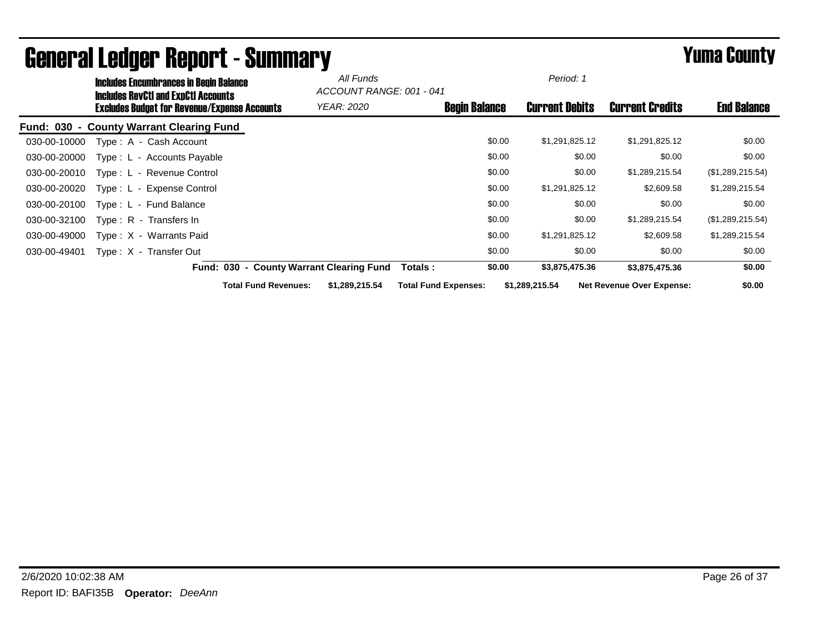|              | <b>Includes Encumbrances in Begin Balance</b>                                                     |                                          | All Funds<br>ACCOUNT RANGE: 001 - 041 |                             | Period: 1 |                       |                                  |                    |  |
|--------------|---------------------------------------------------------------------------------------------------|------------------------------------------|---------------------------------------|-----------------------------|-----------|-----------------------|----------------------------------|--------------------|--|
|              | <b>Includes RevCtI and ExpCtI Accounts</b><br><b>Excludes Budget for Revenue/Expense Accounts</b> |                                          | <b>YEAR: 2020</b>                     | <b>Begin Balance</b>        |           | <b>Current Debits</b> | <b>Current Credits</b>           | <b>End Balance</b> |  |
|              | Fund: 030 - County Warrant Clearing Fund                                                          |                                          |                                       |                             |           |                       |                                  |                    |  |
| 030-00-10000 | Type: A - Cash Account                                                                            |                                          |                                       |                             | \$0.00    | \$1,291,825.12        | \$1,291,825.12                   | \$0.00             |  |
| 030-00-20000 | Type: L - Accounts Payable                                                                        |                                          |                                       |                             | \$0.00    | \$0.00                | \$0.00                           | \$0.00             |  |
| 030-00-20010 | Type: L - Revenue Control                                                                         |                                          |                                       |                             | \$0.00    | \$0.00                | \$1,289,215.54                   | (\$1,289,215.54)   |  |
| 030-00-20020 | Type: L - Expense Control                                                                         |                                          |                                       |                             | \$0.00    | \$1,291,825.12        | \$2,609.58                       | \$1,289,215.54     |  |
| 030-00-20100 | Type: L - Fund Balance                                                                            |                                          |                                       |                             | \$0.00    | \$0.00                | \$0.00                           | \$0.00             |  |
| 030-00-32100 | Type: R - Transfers In                                                                            |                                          |                                       |                             | \$0.00    | \$0.00                | \$1,289,215.54                   | (\$1,289,215.54)   |  |
| 030-00-49000 | Type: X - Warrants Paid                                                                           |                                          |                                       |                             | \$0.00    | \$1,291,825.12        | \$2,609.58                       | \$1,289,215.54     |  |
| 030-00-49401 | Type: X - Transfer Out                                                                            |                                          |                                       |                             | \$0.00    | \$0.00                | \$0.00                           | \$0.00             |  |
|              |                                                                                                   | Fund: 030 - County Warrant Clearing Fund |                                       | <b>Totals:</b>              | \$0.00    | \$3,875,475.36        | \$3,875,475.36                   | \$0.00             |  |
|              |                                                                                                   | <b>Total Fund Revenues:</b>              | \$1,289,215.54                        | <b>Total Fund Expenses:</b> |           | \$1,289,215.54        | <b>Net Revenue Over Expense:</b> | \$0.00             |  |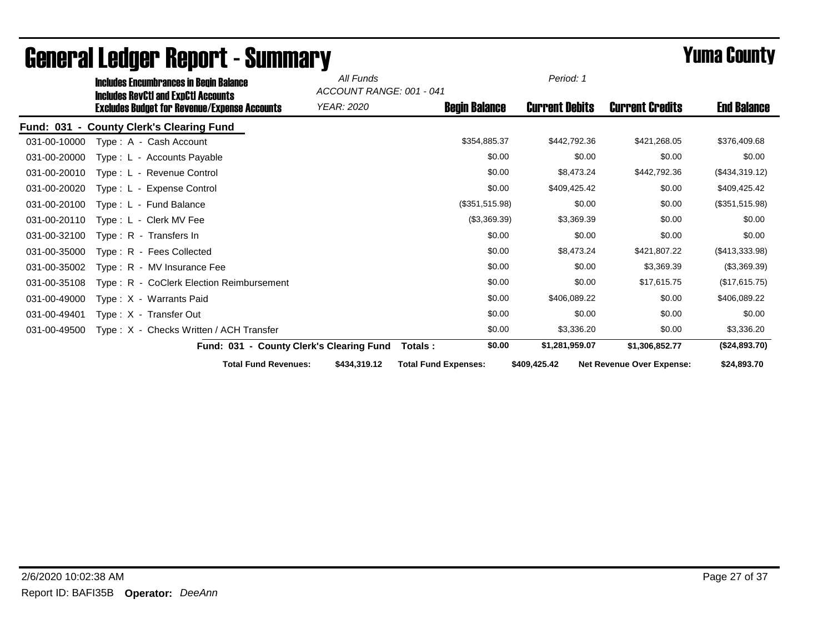|              | <b>Includes Encumbrances in Begin Balance</b><br><b>Includes RevCtI and ExpCtI Accounts</b> |                                          | All Funds<br>ACCOUNT RANGE: 001 - 041 |                             | Period: 1             |                                  |                    |
|--------------|---------------------------------------------------------------------------------------------|------------------------------------------|---------------------------------------|-----------------------------|-----------------------|----------------------------------|--------------------|
|              | <b>Excludes Budget for Revenue/Expense Accounts</b>                                         |                                          | YEAR: 2020                            | <b>Begin Balance</b>        | <b>Current Debits</b> | <b>Current Credits</b>           | <b>End Balance</b> |
|              | Fund: 031 - County Clerk's Clearing Fund                                                    |                                          |                                       |                             |                       |                                  |                    |
| 031-00-10000 | Type: A - Cash Account                                                                      |                                          |                                       | \$354,885.37                | \$442,792.36          | \$421,268.05                     | \$376,409.68       |
| 031-00-20000 | Type: L - Accounts Payable                                                                  |                                          |                                       | \$0.00                      | \$0.00                | \$0.00                           | \$0.00             |
| 031-00-20010 | Type: L - Revenue Control                                                                   |                                          |                                       | \$0.00                      | \$8,473.24            | \$442,792.36                     | (\$434,319.12)     |
| 031-00-20020 | Type: L - Expense Control                                                                   |                                          |                                       | \$0.00                      | \$409,425.42          | \$0.00                           | \$409,425.42       |
| 031-00-20100 | Type: L - Fund Balance                                                                      |                                          |                                       | (\$351,515.98)              | \$0.00                | \$0.00                           | (\$351,515.98)     |
| 031-00-20110 | Type: L - Clerk MV Fee                                                                      |                                          |                                       | (\$3,369.39)                | \$3,369.39            | \$0.00                           | \$0.00             |
| 031-00-32100 | Type: R - Transfers In                                                                      |                                          |                                       | \$0.00                      | \$0.00                | \$0.00                           | \$0.00             |
| 031-00-35000 | Type: R - Fees Collected                                                                    |                                          |                                       | \$0.00                      | \$8,473.24            | \$421,807.22                     | (\$413,333.98)     |
| 031-00-35002 | Type: R - MV Insurance Fee                                                                  |                                          |                                       | \$0.00                      | \$0.00                | \$3,369.39                       | (\$3,369.39)       |
| 031-00-35108 | Type: R - CoClerk Election Reimbursement                                                    |                                          |                                       | \$0.00                      | \$0.00                | \$17,615.75                      | (\$17,615.75)      |
| 031-00-49000 | Type: X - Warrants Paid                                                                     |                                          |                                       | \$0.00                      | \$406,089.22          | \$0.00                           | \$406,089.22       |
| 031-00-49401 | Type: X - Transfer Out                                                                      |                                          |                                       | \$0.00                      | \$0.00                | \$0.00                           | \$0.00             |
| 031-00-49500 | Type: X - Checks Written / ACH Transfer                                                     |                                          |                                       | \$0.00                      | \$3,336.20            | \$0.00                           | \$3,336.20         |
|              |                                                                                             | Fund: 031 - County Clerk's Clearing Fund |                                       | \$0.00<br>Totals:           | \$1,281,959.07        | \$1.306.852.77                   | (\$24,893.70)      |
|              |                                                                                             | <b>Total Fund Revenues:</b>              | \$434,319.12                          | <b>Total Fund Expenses:</b> | \$409,425.42          | <b>Net Revenue Over Expense:</b> | \$24,893.70        |

# General Ledger Report - Summary **Example 2008** Summary **Prime County**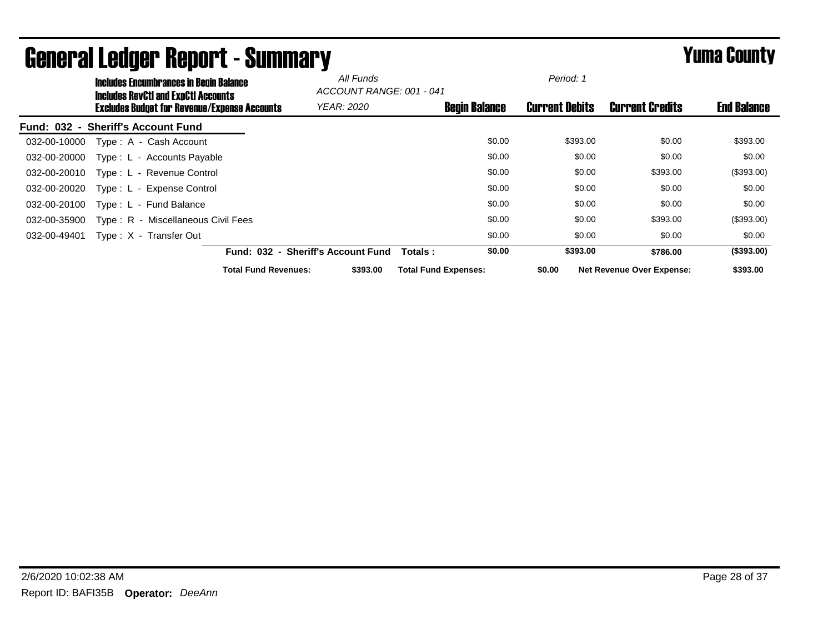|              | <b>Includes Encumbrances in Begin Balance</b><br><b>Includes RevCtI and ExpCtI Accounts</b> |                                    | All Funds<br>ACCOUNT RANGE: 001 - 041 |                             |                      | Period: 1             |                                  |                    |
|--------------|---------------------------------------------------------------------------------------------|------------------------------------|---------------------------------------|-----------------------------|----------------------|-----------------------|----------------------------------|--------------------|
|              | <b>Excludes Budget for Revenue/Expense Accounts</b>                                         |                                    | <b>YEAR: 2020</b>                     |                             | <b>Begin Balance</b> | <b>Current Debits</b> | <b>Current Credits</b>           | <b>End Balance</b> |
|              | Fund: 032 - Sheriff's Account Fund                                                          |                                    |                                       |                             |                      |                       |                                  |                    |
| 032-00-10000 | Type: A - Cash Account                                                                      |                                    |                                       |                             | \$0.00               | \$393.00              | \$0.00                           | \$393.00           |
| 032-00-20000 | Type: L - Accounts Payable                                                                  |                                    |                                       |                             | \$0.00               | \$0.00                | \$0.00                           | \$0.00             |
| 032-00-20010 | Type: L - Revenue Control                                                                   |                                    |                                       |                             | \$0.00               | \$0.00                | \$393.00                         | (\$393.00)         |
| 032-00-20020 | Type: L - Expense Control                                                                   |                                    |                                       |                             | \$0.00               | \$0.00                | \$0.00                           | \$0.00             |
| 032-00-20100 | Type: L - Fund Balance                                                                      |                                    |                                       |                             | \$0.00               | \$0.00                | \$0.00                           | \$0.00             |
| 032-00-35900 | Type: R - Miscellaneous Civil Fees                                                          |                                    |                                       |                             | \$0.00               | \$0.00                | \$393.00                         | (\$393.00)         |
| 032-00-49401 | Type: X - Transfer Out                                                                      |                                    |                                       |                             | \$0.00               | \$0.00                | \$0.00                           | \$0.00             |
|              |                                                                                             | Fund: 032 - Sheriff's Account Fund |                                       | Totals:                     | \$0.00               | \$393.00              | \$786.00                         | (\$393.00)         |
|              |                                                                                             | <b>Total Fund Revenues:</b>        | \$393.00                              | <b>Total Fund Expenses:</b> |                      | \$0.00                | <b>Net Revenue Over Expense:</b> | \$393.00           |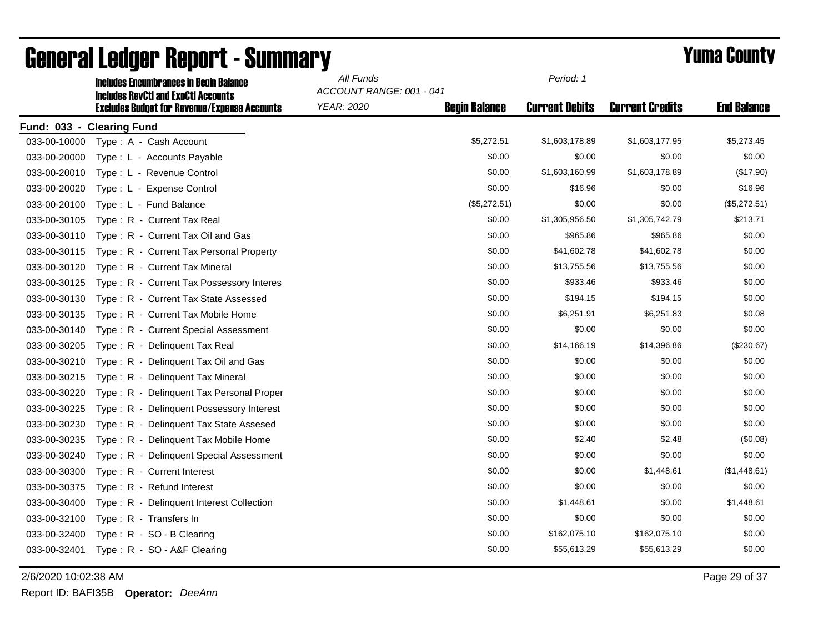|              | <b>Includes Encumbrances in Begin Balance</b><br><b>Includes RevCtI and ExpCtI Accounts</b> | All Funds<br>ACCOUNT RANGE: 001 - 041 |                      | Period: 1             |                        |                    |
|--------------|---------------------------------------------------------------------------------------------|---------------------------------------|----------------------|-----------------------|------------------------|--------------------|
|              | <b>Excludes Budget for Revenue/Expense Accounts</b>                                         | <b>YEAR: 2020</b>                     | <b>Begin Balance</b> | <b>Current Debits</b> | <b>Current Credits</b> | <b>End Balance</b> |
| Fund: 033 -  | <b>Clearing Fund</b>                                                                        |                                       |                      |                       |                        |                    |
| 033-00-10000 | Type: A - Cash Account                                                                      |                                       | \$5,272.51           | \$1,603,178.89        | \$1,603,177.95         | \$5,273.45         |
| 033-00-20000 | Type: L - Accounts Payable                                                                  |                                       | \$0.00               | \$0.00                | \$0.00                 | \$0.00             |
| 033-00-20010 | Type: L - Revenue Control                                                                   |                                       | \$0.00               | \$1,603,160.99        | \$1,603,178.89         | (\$17.90)          |
| 033-00-20020 | Type: L - Expense Control                                                                   |                                       | \$0.00               | \$16.96               | \$0.00                 | \$16.96            |
| 033-00-20100 | Type: L - Fund Balance                                                                      |                                       | (\$5,272.51)         | \$0.00                | \$0.00                 | (\$5,272.51)       |
| 033-00-30105 | Type: R - Current Tax Real                                                                  |                                       | \$0.00               | \$1,305,956.50        | \$1,305,742.79         | \$213.71           |
| 033-00-30110 | Type: R - Current Tax Oil and Gas                                                           |                                       | \$0.00               | \$965.86              | \$965.86               | \$0.00             |
| 033-00-30115 | Type: R - Current Tax Personal Property                                                     |                                       | \$0.00               | \$41,602.78           | \$41,602.78            | \$0.00             |
| 033-00-30120 | Type: R - Current Tax Mineral                                                               |                                       | \$0.00               | \$13,755.56           | \$13,755.56            | \$0.00             |
| 033-00-30125 | Type: R - Current Tax Possessory Interes                                                    |                                       | \$0.00               | \$933.46              | \$933.46               | \$0.00             |
| 033-00-30130 | Type: R - Current Tax State Assessed                                                        |                                       | \$0.00               | \$194.15              | \$194.15               | \$0.00             |
| 033-00-30135 | Type: R - Current Tax Mobile Home                                                           |                                       | \$0.00               | \$6,251.91            | \$6,251.83             | \$0.08             |
| 033-00-30140 | Type: R - Current Special Assessment                                                        |                                       | \$0.00               | \$0.00                | \$0.00                 | \$0.00             |
| 033-00-30205 | Type: R - Delinquent Tax Real                                                               |                                       | \$0.00               | \$14,166.19           | \$14,396.86            | (\$230.67)         |
| 033-00-30210 | Type: R - Delinquent Tax Oil and Gas                                                        |                                       | \$0.00               | \$0.00                | \$0.00                 | \$0.00             |
| 033-00-30215 | Type: R - Delinquent Tax Mineral                                                            |                                       | \$0.00               | \$0.00                | \$0.00                 | \$0.00             |
| 033-00-30220 | Type: R - Delinquent Tax Personal Proper                                                    |                                       | \$0.00               | \$0.00                | \$0.00                 | \$0.00             |
| 033-00-30225 | Type: R - Delinquent Possessory Interest                                                    |                                       | \$0.00               | \$0.00                | \$0.00                 | \$0.00             |
| 033-00-30230 | Type: R - Delinquent Tax State Assesed                                                      |                                       | \$0.00               | \$0.00                | \$0.00                 | \$0.00             |
| 033-00-30235 | Type: R - Delinquent Tax Mobile Home                                                        |                                       | \$0.00               | \$2.40                | \$2.48                 | (\$0.08)           |
| 033-00-30240 | Type: R - Delinquent Special Assessment                                                     |                                       | \$0.00               | \$0.00                | \$0.00                 | \$0.00             |
| 033-00-30300 | Type: R - Current Interest                                                                  |                                       | \$0.00               | \$0.00                | \$1,448.61             | (\$1,448.61)       |
| 033-00-30375 | Type: R - Refund Interest                                                                   |                                       | \$0.00               | \$0.00                | \$0.00                 | \$0.00             |
| 033-00-30400 | Type: R - Delinquent Interest Collection                                                    |                                       | \$0.00               | \$1,448.61            | \$0.00                 | \$1,448.61         |
| 033-00-32100 | Type: R - Transfers In                                                                      |                                       | \$0.00               | \$0.00                | \$0.00                 | \$0.00             |
| 033-00-32400 | Type: R - SO - B Clearing                                                                   |                                       | \$0.00               | \$162,075.10          | \$162,075.10           | \$0.00             |
| 033-00-32401 | Type: R - SO - A&F Clearing                                                                 |                                       | \$0.00               | \$55,613.29           | \$55,613.29            | \$0.00             |

2/6/2020 10:02:38 AM Page 29 of 37

Report ID: BAFI35B **Operator:** *DeeAnn*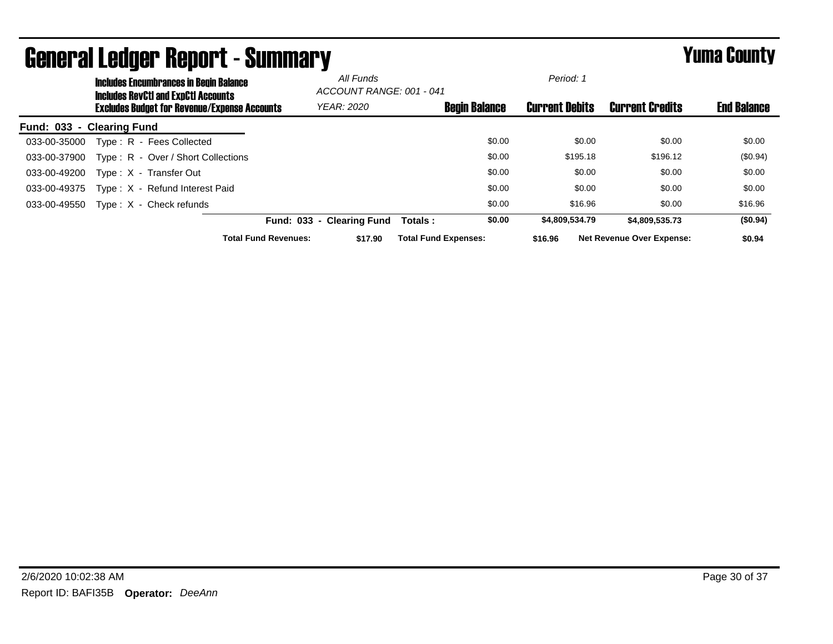|                  | <b>Includes Encumbrances in Begin Balance</b><br><b>Includes RevCtI and ExpCtI Accounts</b> |                                                     |                             | All Funds<br>ACCOUNT RANGE: 001 - 041 |                             |                      | Period: 1             |          |                                  |                    |
|------------------|---------------------------------------------------------------------------------------------|-----------------------------------------------------|-----------------------------|---------------------------------------|-----------------------------|----------------------|-----------------------|----------|----------------------------------|--------------------|
|                  |                                                                                             | <b>Excludes Budget for Revenue/Expense Accounts</b> |                             | <b>YEAR: 2020</b>                     |                             | <b>Begin Balance</b> | <b>Current Debits</b> |          | <b>Current Credits</b>           | <b>End Balance</b> |
| <b>Fund: 033</b> | - Clearing Fund                                                                             |                                                     |                             |                                       |                             |                      |                       |          |                                  |                    |
| 033-00-35000     |                                                                                             | Type: R - Fees Collected                            |                             |                                       |                             | \$0.00               |                       | \$0.00   | \$0.00                           | \$0.00             |
| 033-00-37900     |                                                                                             | Type: R - Over / Short Collections                  |                             |                                       |                             | \$0.00               |                       | \$195.18 | \$196.12                         | (\$0.94)           |
| 033-00-49200     |                                                                                             | Type: X - Transfer Out                              |                             |                                       |                             | \$0.00               |                       | \$0.00   | \$0.00                           | \$0.00             |
| 033-00-49375     |                                                                                             | Type: X - Refund Interest Paid                      |                             |                                       |                             | \$0.00               |                       | \$0.00   | \$0.00                           | \$0.00             |
| 033-00-49550     |                                                                                             | $Type: X - Check$ refunds                           |                             |                                       |                             | \$0.00               |                       | \$16.96  | \$0.00                           | \$16.96            |
|                  |                                                                                             |                                                     | Fund: 033 - Clearing Fund   |                                       | Totals:                     | \$0.00               | \$4,809,534.79        |          | \$4,809,535,73                   | (\$0.94)           |
|                  |                                                                                             |                                                     | <b>Total Fund Revenues:</b> | \$17.90                               | <b>Total Fund Expenses:</b> |                      | \$16.96               |          | <b>Net Revenue Over Expense:</b> | \$0.94             |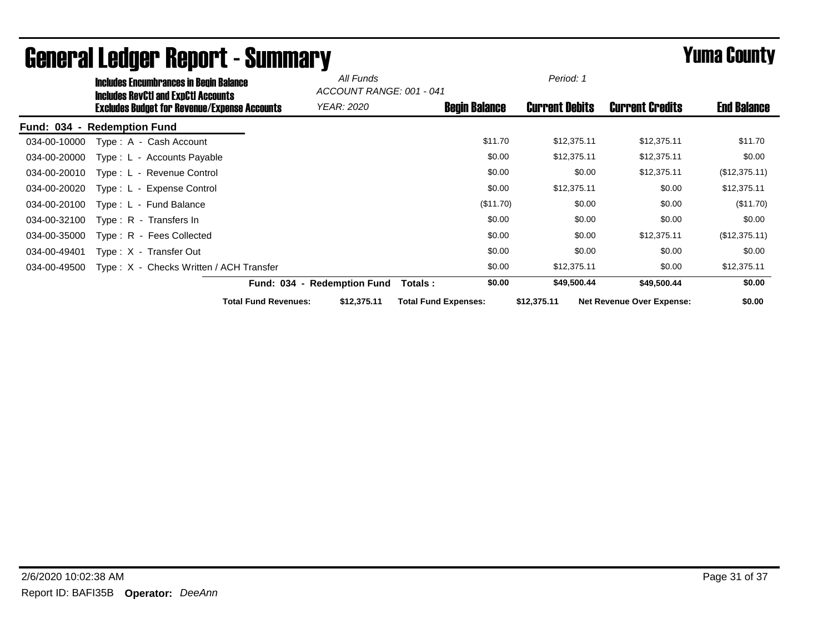|              | <b>Includes Encumbrances in Begin Balance</b><br><b>Includes RevCtI and ExpCtI Accounts</b> |                             | All Funds<br>ACCOUNT RANGE: 001 - 041 |                             | Period: 1             |                                  |                    |
|--------------|---------------------------------------------------------------------------------------------|-----------------------------|---------------------------------------|-----------------------------|-----------------------|----------------------------------|--------------------|
|              | <b>Excludes Budget for Revenue/Expense Accounts</b>                                         |                             | <b>YEAR: 2020</b>                     | <b>Begin Balance</b>        | <b>Current Debits</b> | <b>Current Credits</b>           | <b>End Balance</b> |
|              | Fund: 034 - Redemption Fund                                                                 |                             |                                       |                             |                       |                                  |                    |
| 034-00-10000 | Type: A - Cash Account                                                                      |                             |                                       | \$11.70                     | \$12,375.11           | \$12,375.11                      | \$11.70            |
| 034-00-20000 | Type: L - Accounts Payable                                                                  |                             |                                       | \$0.00                      | \$12,375.11           | \$12,375.11                      | \$0.00             |
| 034-00-20010 | Type: L - Revenue Control                                                                   |                             |                                       | \$0.00                      | \$0.00                | \$12,375.11                      | (\$12,375.11)      |
| 034-00-20020 | Type: L - Expense Control                                                                   |                             |                                       | \$0.00                      | \$12,375.11           | \$0.00                           | \$12,375.11        |
| 034-00-20100 | Type: L - Fund Balance                                                                      |                             |                                       | (\$11.70)                   | \$0.00                | \$0.00                           | (\$11.70)          |
| 034-00-32100 | Type: R - Transfers In                                                                      |                             |                                       | \$0.00                      | \$0.00                | \$0.00                           | \$0.00             |
| 034-00-35000 | Type: R - Fees Collected                                                                    |                             |                                       | \$0.00                      | \$0.00                | \$12,375.11                      | (\$12,375.11)      |
| 034-00-49401 | Type: X - Transfer Out                                                                      |                             |                                       | \$0.00                      | \$0.00                | \$0.00                           | \$0.00             |
| 034-00-49500 | Type: X - Checks Written / ACH Transfer                                                     |                             |                                       | \$0.00                      | \$12,375.11           | \$0.00                           | \$12,375.11        |
|              |                                                                                             |                             | Fund: 034 - Redemption Fund           | \$0.00<br>Totals :          | \$49,500.44           | \$49,500.44                      | \$0.00             |
|              |                                                                                             | <b>Total Fund Revenues:</b> | \$12,375.11                           | <b>Total Fund Expenses:</b> | \$12,375.11           | <b>Net Revenue Over Expense:</b> | \$0.00             |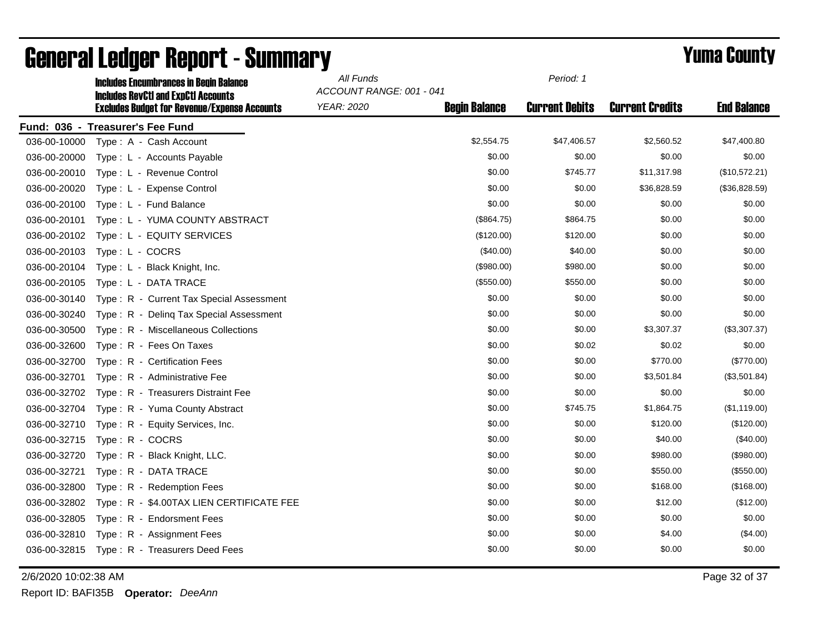|              | <b>Includes Encumbrances in Begin Balance</b><br><b>Includes RevCtI and ExpCtI Accounts</b> | All Funds<br>ACCOUNT RANGE: 001 - 041 |                      | Period: 1             |                        |                    |
|--------------|---------------------------------------------------------------------------------------------|---------------------------------------|----------------------|-----------------------|------------------------|--------------------|
|              | <b>Excludes Budget for Revenue/Expense Accounts</b>                                         | YEAR: 2020                            | <b>Begin Balance</b> | <b>Current Debits</b> | <b>Current Credits</b> | <b>End Balance</b> |
|              | Fund: 036 - Treasurer's Fee Fund                                                            |                                       |                      |                       |                        |                    |
| 036-00-10000 | Type: A - Cash Account                                                                      |                                       | \$2,554.75           | \$47,406.57           | \$2,560.52             | \$47,400.80        |
| 036-00-20000 | Type: L - Accounts Payable                                                                  |                                       | \$0.00               | \$0.00                | \$0.00                 | \$0.00             |
| 036-00-20010 | Type: L - Revenue Control                                                                   |                                       | \$0.00               | \$745.77              | \$11,317.98            | (\$10,572.21)      |
| 036-00-20020 | Type: L - Expense Control                                                                   |                                       | \$0.00               | \$0.00                | \$36,828.59            | (\$36,828.59)      |
| 036-00-20100 | Type: L - Fund Balance                                                                      |                                       | \$0.00               | \$0.00                | \$0.00                 | \$0.00             |
| 036-00-20101 | Type: L - YUMA COUNTY ABSTRACT                                                              |                                       | (\$864.75)           | \$864.75              | \$0.00                 | \$0.00             |
| 036-00-20102 | Type: L - EQUITY SERVICES                                                                   |                                       | (\$120.00)           | \$120.00              | \$0.00                 | \$0.00             |
| 036-00-20103 | Type: L - COCRS                                                                             |                                       | (\$40.00)            | \$40.00               | \$0.00                 | \$0.00             |
| 036-00-20104 | Type: L - Black Knight, Inc.                                                                |                                       | (\$980.00)           | \$980.00              | \$0.00                 | \$0.00             |
| 036-00-20105 | Type: L - DATA TRACE                                                                        |                                       | (\$550.00)           | \$550.00              | \$0.00                 | \$0.00             |
| 036-00-30140 | Type: R - Current Tax Special Assessment                                                    |                                       | \$0.00               | \$0.00                | \$0.00                 | \$0.00             |
| 036-00-30240 | Type: R - Deling Tax Special Assessment                                                     |                                       | \$0.00               | \$0.00                | \$0.00                 | \$0.00             |
| 036-00-30500 | Type: R - Miscellaneous Collections                                                         |                                       | \$0.00               | \$0.00                | \$3,307.37             | (\$3,307.37)       |
| 036-00-32600 | Type: R - Fees On Taxes                                                                     |                                       | \$0.00               | \$0.02                | \$0.02                 | \$0.00             |
| 036-00-32700 | Type: R - Certification Fees                                                                |                                       | \$0.00               | \$0.00                | \$770.00               | $(\$770.00)$       |
| 036-00-32701 | Type: R - Administrative Fee                                                                |                                       | \$0.00               | \$0.00                | \$3,501.84             | (\$3,501.84)       |
| 036-00-32702 | Type: R - Treasurers Distraint Fee                                                          |                                       | \$0.00               | \$0.00                | \$0.00                 | \$0.00             |
| 036-00-32704 | Type: R - Yuma County Abstract                                                              |                                       | \$0.00               | \$745.75              | \$1,864.75             | (\$1,119.00)       |
| 036-00-32710 | Type: R - Equity Services, Inc.                                                             |                                       | \$0.00               | \$0.00                | \$120.00               | (\$120.00)         |
| 036-00-32715 | Type: R - COCRS                                                                             |                                       | \$0.00               | \$0.00                | \$40.00                | $(\$40.00)$        |
| 036-00-32720 | Type: R - Black Knight, LLC.                                                                |                                       | \$0.00               | \$0.00                | \$980.00               | (\$980.00)         |
| 036-00-32721 | Type: R - DATA TRACE                                                                        |                                       | \$0.00               | \$0.00                | \$550.00               | (\$550.00)         |
| 036-00-32800 | Type: R - Redemption Fees                                                                   |                                       | \$0.00               | \$0.00                | \$168.00               | (\$168.00)         |
| 036-00-32802 | Type: R - \$4.00TAX LIEN CERTIFICATE FEE                                                    |                                       | \$0.00               | \$0.00                | \$12.00                | (\$12.00)          |
| 036-00-32805 | Type: R - Endorsment Fees                                                                   |                                       | \$0.00               | \$0.00                | \$0.00                 | \$0.00             |
| 036-00-32810 | Type: R - Assignment Fees                                                                   |                                       | \$0.00               | \$0.00                | \$4.00                 | $(\$4.00)$         |
| 036-00-32815 | Type: R - Treasurers Deed Fees                                                              |                                       | \$0.00               | \$0.00                | \$0.00                 | \$0.00             |

2/6/2020 10:02:38 AM Page 32 of 37

Report ID: BAFI35B **Operator:** *DeeAnn*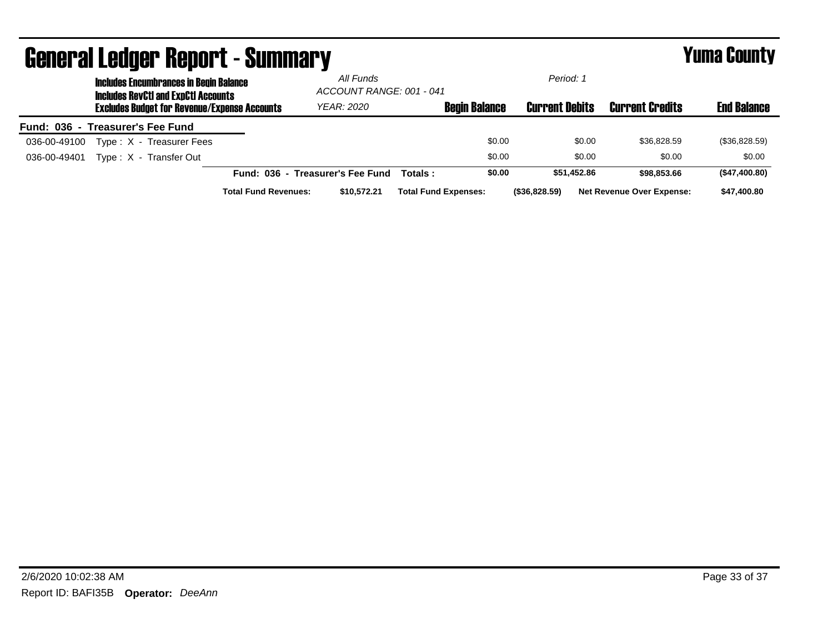|                                  |                                                                                             | <b>General Ledger Report - Summary</b>              |                             |                                  |                          |                             |                       |                                  | <b>Yuma County</b> |  |
|----------------------------------|---------------------------------------------------------------------------------------------|-----------------------------------------------------|-----------------------------|----------------------------------|--------------------------|-----------------------------|-----------------------|----------------------------------|--------------------|--|
|                                  | <b>Includes Encumbrances in Begin Balance</b><br><b>Includes RevCtI and ExpCtI Accounts</b> |                                                     |                             | All Funds                        | ACCOUNT RANGE: 001 - 041 |                             |                       | Period: 1                        |                    |  |
|                                  |                                                                                             | <b>Excludes Budget for Revenue/Expense Accounts</b> |                             | YEAR: 2020                       |                          | <b>Begin Balance</b>        | <b>Current Debits</b> | <b>Current Credits</b>           | <b>End Balance</b> |  |
| Fund: 036 - Treasurer's Fee Fund |                                                                                             |                                                     |                             |                                  |                          |                             |                       |                                  |                    |  |
| 036-00-49100                     |                                                                                             | Type: X - Treasurer Fees                            |                             |                                  |                          | \$0.00                      | \$0.00                | \$36,828.59                      | (\$36,828.59)      |  |
| 036-00-49401                     |                                                                                             | Type: X - Transfer Out                              |                             |                                  |                          | \$0.00                      | \$0.00                | \$0.00                           | \$0.00             |  |
|                                  |                                                                                             |                                                     |                             | Fund: 036 - Treasurer's Fee Fund | Totals :                 | \$0.00                      | \$51.452.86           | \$98,853,66                      | (\$47,400.80)      |  |
|                                  |                                                                                             |                                                     | <b>Total Fund Revenues:</b> | \$10,572.21                      |                          | <b>Total Fund Expenses:</b> | (\$36,828.59)         | <b>Net Revenue Over Expense:</b> | \$47,400.80        |  |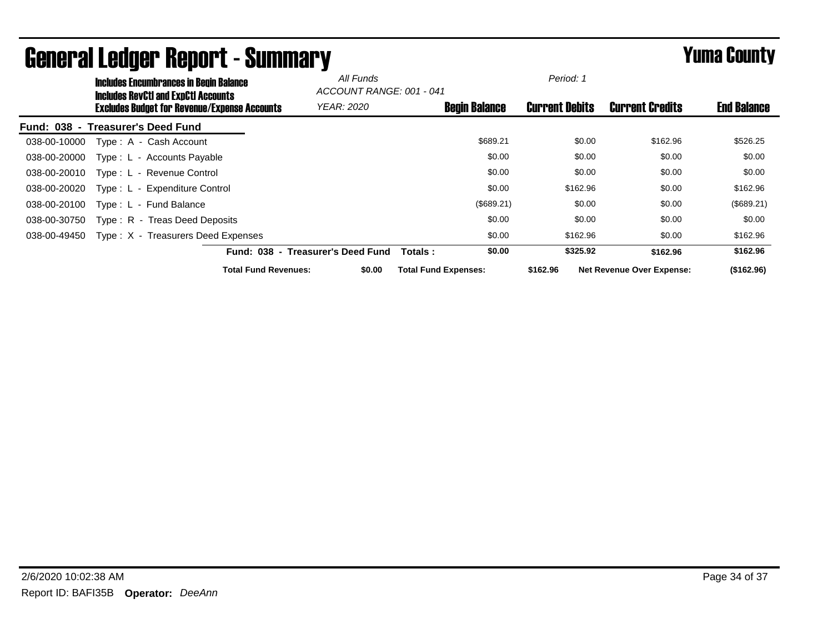|                  | <b>Includes Encumbrances in Begin Balance</b><br><b>Includes RevCtI and ExpCtI Accounts</b> |                                   | All Funds | ACCOUNT RANGE: 001 - 041    |                      | Period: 1             |                                  |                    |
|------------------|---------------------------------------------------------------------------------------------|-----------------------------------|-----------|-----------------------------|----------------------|-----------------------|----------------------------------|--------------------|
|                  | <b>Excludes Budget for Revenue/Expense Accounts</b>                                         | <b>YEAR: 2020</b>                 |           |                             | <b>Begin Balance</b> | <b>Current Debits</b> | <b>Current Credits</b>           | <b>End Balance</b> |
| <b>Fund: 038</b> | - Treasurer's Deed Fund                                                                     |                                   |           |                             |                      |                       |                                  |                    |
| 038-00-10000     | Type: A - Cash Account                                                                      |                                   |           |                             | \$689.21             | \$0.00                | \$162.96                         | \$526.25           |
| 038-00-20000     | Type: L - Accounts Payable                                                                  |                                   |           |                             | \$0.00               | \$0.00                | \$0.00                           | \$0.00             |
| 038-00-20010     | Type: L - Revenue Control                                                                   |                                   |           |                             | \$0.00               | \$0.00                | \$0.00                           | \$0.00             |
| 038-00-20020     | Type: L - Expenditure Control                                                               |                                   |           |                             | \$0.00               | \$162.96              | \$0.00                           | \$162.96           |
| 038-00-20100     | Type: L - Fund Balance                                                                      |                                   |           |                             | (\$689.21)           | \$0.00                | \$0.00                           | (\$689.21)         |
| 038-00-30750     | Type: R - Treas Deed Deposits                                                               |                                   |           |                             | \$0.00               | \$0.00                | \$0.00                           | \$0.00             |
| 038-00-49450     | Type: X - Treasurers Deed Expenses                                                          |                                   |           |                             | \$0.00               | \$162.96              | \$0.00                           | \$162.96           |
|                  |                                                                                             | Fund: 038 - Treasurer's Deed Fund |           | Totals :                    | \$0.00               | \$325.92              | \$162.96                         | \$162.96           |
|                  |                                                                                             | <b>Total Fund Revenues:</b>       | \$0.00    | <b>Total Fund Expenses:</b> |                      | \$162.96              | <b>Net Revenue Over Expense:</b> | (\$162.96)         |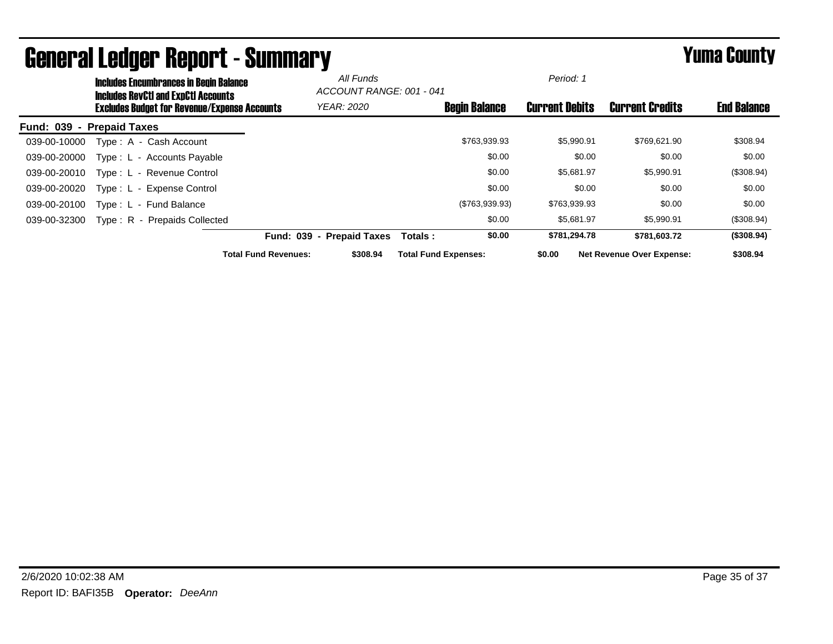|                  | <b>Includes Encumbrances in Begin Balance</b><br><b>Includes RevCtI and ExpCtI Accounts</b> |                             | All Funds<br>ACCOUNT RANGE: 001 - 041 |                             |                      | Period: 1             |                                  |                    |
|------------------|---------------------------------------------------------------------------------------------|-----------------------------|---------------------------------------|-----------------------------|----------------------|-----------------------|----------------------------------|--------------------|
|                  | <b>Excludes Budget for Revenue/Expense Accounts</b>                                         |                             | <b>YEAR: 2020</b>                     |                             | <b>Begin Balance</b> | <b>Current Debits</b> | <b>Current Credits</b>           | <b>End Balance</b> |
| <b>Fund: 039</b> | - Prepaid Taxes                                                                             |                             |                                       |                             |                      |                       |                                  |                    |
| 039-00-10000     | Type: A - Cash Account                                                                      |                             |                                       |                             | \$763,939.93         | \$5,990.91            | \$769,621.90                     | \$308.94           |
| 039-00-20000     | Type: L - Accounts Payable                                                                  |                             |                                       |                             | \$0.00               | \$0.00                | \$0.00                           | \$0.00             |
| 039-00-20010     | Type: L - Revenue Control                                                                   |                             |                                       |                             | \$0.00               | \$5,681.97            | \$5,990.91                       | (\$308.94)         |
| 039-00-20020     | Type: L - Expense Control                                                                   |                             |                                       |                             | \$0.00               | \$0.00                | \$0.00                           | \$0.00             |
| 039-00-20100     | Type: L - Fund Balance                                                                      |                             |                                       |                             | (\$763,939.93)       | \$763,939.93          | \$0.00                           | \$0.00             |
| 039-00-32300     | Type: R - Prepaids Collected                                                                |                             |                                       |                             | \$0.00               | \$5.681.97            | \$5,990.91                       | (\$308.94)         |
|                  |                                                                                             |                             | Fund: 039 - Prepaid Taxes             | Totals:                     | \$0.00               | \$781,294.78          | \$781,603.72                     | (\$308.94)         |
|                  |                                                                                             | <b>Total Fund Revenues:</b> | \$308.94                              | <b>Total Fund Expenses:</b> |                      | \$0.00                | <b>Net Revenue Over Expense:</b> | \$308.94           |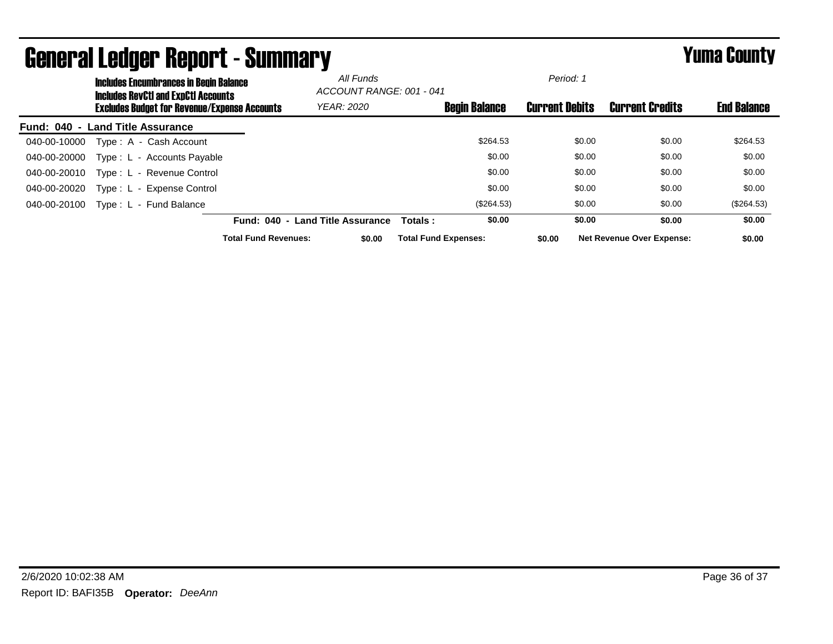|                  |                        | <b>Includes Encumbrances in Begin Balance</b><br><b>Includes RevCtI and ExpCtI Accounts</b> |                             | All Funds<br>ACCOUNT RANGE: 001 - 041 |                             |                      | Period: 1             |                                  |                    |  |
|------------------|------------------------|---------------------------------------------------------------------------------------------|-----------------------------|---------------------------------------|-----------------------------|----------------------|-----------------------|----------------------------------|--------------------|--|
|                  |                        | Excludes Budget for Revenue/Expense Accounts                                                |                             | <b>YEAR: 2020</b>                     |                             | <b>Begin Balance</b> | <b>Current Debits</b> | <b>Current Credits</b>           | <b>End Balance</b> |  |
| <b>Fund: 040</b> | - Land Title Assurance |                                                                                             |                             |                                       |                             |                      |                       |                                  |                    |  |
| 040-00-10000     |                        | Type: A - Cash Account                                                                      |                             |                                       |                             | \$264.53             | \$0.00                | \$0.00                           | \$264.53           |  |
| 040-00-20000     |                        | Type: L - Accounts Payable                                                                  |                             |                                       |                             | \$0.00               | \$0.00                | \$0.00                           | \$0.00             |  |
| 040-00-20010     |                        | Type: L - Revenue Control                                                                   |                             |                                       |                             | \$0.00               | \$0.00                | \$0.00                           | \$0.00             |  |
| 040-00-20020     |                        | Type: L - Expense Control                                                                   |                             |                                       |                             | \$0.00               | \$0.00                | \$0.00                           | \$0.00             |  |
| 040-00-20100     |                        | Type: L - Fund Balance                                                                      |                             |                                       |                             | (\$264.53)           | \$0.00                | \$0.00                           | (\$264.53)         |  |
|                  |                        |                                                                                             | Fund: 040 -                 | <b>Land Title Assurance</b>           | Totals:                     | \$0.00               | \$0.00                | \$0.00                           | \$0.00             |  |
|                  |                        |                                                                                             | <b>Total Fund Revenues:</b> | \$0.00                                | <b>Total Fund Expenses:</b> |                      | \$0.00                | <b>Net Revenue Over Expense:</b> | \$0.00             |  |